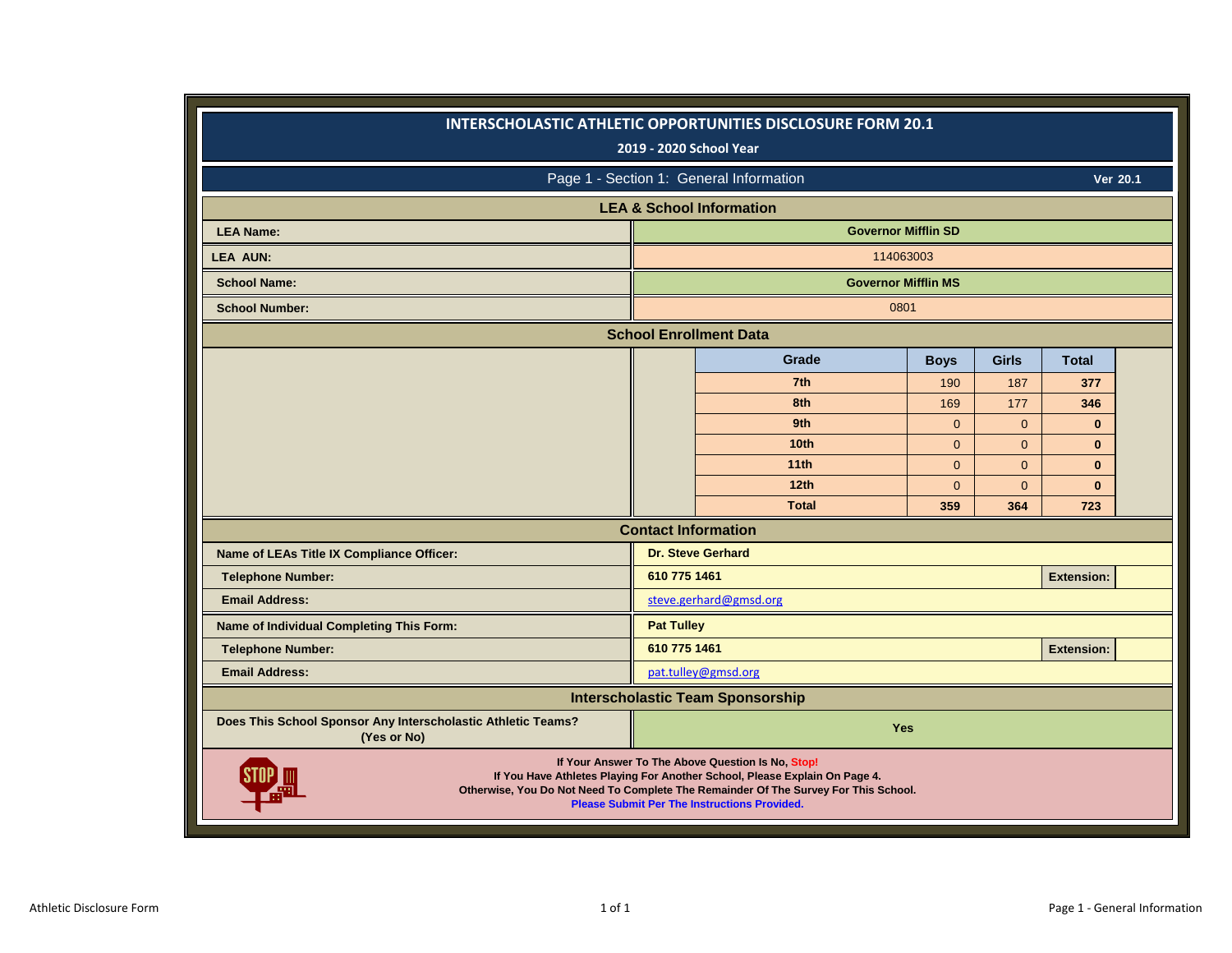|                                                                             |                            | INTERSCHOLASTIC ATHLETIC OPPORTUNITIES DISCLOSURE FORM 20.1<br>2019 - 2020 School Year                                                                                                                                                                                        |                |                |                   |                 |
|-----------------------------------------------------------------------------|----------------------------|-------------------------------------------------------------------------------------------------------------------------------------------------------------------------------------------------------------------------------------------------------------------------------|----------------|----------------|-------------------|-----------------|
|                                                                             |                            | Page 1 - Section 1: General Information                                                                                                                                                                                                                                       |                |                |                   | <b>Ver 20.1</b> |
|                                                                             |                            | <b>LEA &amp; School Information</b>                                                                                                                                                                                                                                           |                |                |                   |                 |
| <b>LEA Name:</b>                                                            |                            | <b>Governor Mifflin SD</b>                                                                                                                                                                                                                                                    |                |                |                   |                 |
| <b>LEA AUN:</b>                                                             |                            | 114063003                                                                                                                                                                                                                                                                     |                |                |                   |                 |
| <b>School Name:</b>                                                         |                            | <b>Governor Mifflin MS</b>                                                                                                                                                                                                                                                    |                |                |                   |                 |
| <b>School Number:</b>                                                       |                            | 0801                                                                                                                                                                                                                                                                          |                |                |                   |                 |
|                                                                             |                            | <b>School Enrollment Data</b>                                                                                                                                                                                                                                                 |                |                |                   |                 |
|                                                                             |                            | Grade                                                                                                                                                                                                                                                                         | <b>Boys</b>    | <b>Girls</b>   | <b>Total</b>      |                 |
|                                                                             |                            | 7th                                                                                                                                                                                                                                                                           | 190            | 187            | 377               |                 |
|                                                                             |                            | 8th                                                                                                                                                                                                                                                                           | 169            | 177            | 346               |                 |
|                                                                             |                            | 9th                                                                                                                                                                                                                                                                           | $\mathbf{0}$   | $\mathbf{0}$   | $\bf{0}$          |                 |
|                                                                             |                            | 10 <sub>th</sub>                                                                                                                                                                                                                                                              | $\Omega$       | $\Omega$       | $\mathbf{0}$      |                 |
|                                                                             |                            | 11th                                                                                                                                                                                                                                                                          | $\Omega$       | $\Omega$       | $\mathbf{0}$      |                 |
|                                                                             |                            | 12 <sub>th</sub>                                                                                                                                                                                                                                                              | $\overline{0}$ | $\overline{0}$ | $\mathbf{0}$      |                 |
|                                                                             |                            | <b>Total</b>                                                                                                                                                                                                                                                                  | 359            | 364            | 723               |                 |
|                                                                             | <b>Contact Information</b> |                                                                                                                                                                                                                                                                               |                |                |                   |                 |
| Name of LEAs Title IX Compliance Officer:                                   |                            | <b>Dr. Steve Gerhard</b>                                                                                                                                                                                                                                                      |                |                |                   |                 |
| <b>Telephone Number:</b>                                                    | 610 775 1461               |                                                                                                                                                                                                                                                                               |                |                | <b>Extension:</b> |                 |
| <b>Email Address:</b>                                                       |                            | steve.gerhard@gmsd.org                                                                                                                                                                                                                                                        |                |                |                   |                 |
| Name of Individual Completing This Form:                                    | <b>Pat Tulley</b>          |                                                                                                                                                                                                                                                                               |                |                |                   |                 |
| <b>Telephone Number:</b>                                                    | 610 775 1461               |                                                                                                                                                                                                                                                                               |                |                | <b>Extension:</b> |                 |
| <b>Email Address:</b>                                                       |                            | pat.tulley@gmsd.org                                                                                                                                                                                                                                                           |                |                |                   |                 |
|                                                                             |                            | <b>Interscholastic Team Sponsorship</b>                                                                                                                                                                                                                                       |                |                |                   |                 |
| Does This School Sponsor Any Interscholastic Athletic Teams?<br>(Yes or No) |                            | Yes                                                                                                                                                                                                                                                                           |                |                |                   |                 |
|                                                                             |                            | If Your Answer To The Above Question Is No, Stop!<br>If You Have Athletes Playing For Another School, Please Explain On Page 4.<br>Otherwise, You Do Not Need To Complete The Remainder Of The Survey For This School.<br><b>Please Submit Per The Instructions Provided.</b> |                |                |                   |                 |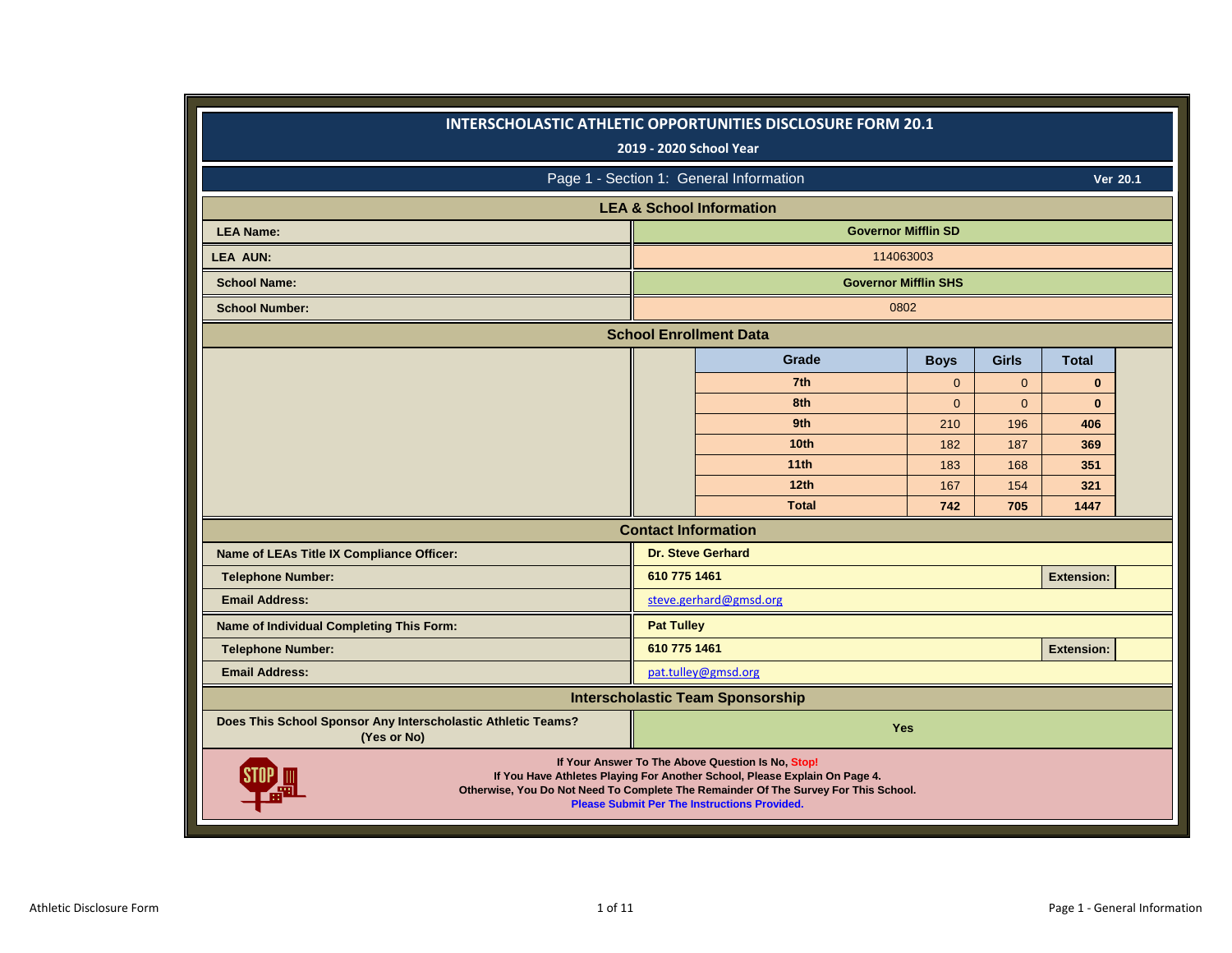|                                                                             |                   | INTERSCHOLASTIC ATHLETIC OPPORTUNITIES DISCLOSURE FORM 20.1<br>2019 - 2020 School Year                                                                                                                                                                                        |              |              |                   |                 |
|-----------------------------------------------------------------------------|-------------------|-------------------------------------------------------------------------------------------------------------------------------------------------------------------------------------------------------------------------------------------------------------------------------|--------------|--------------|-------------------|-----------------|
|                                                                             |                   | Page 1 - Section 1: General Information                                                                                                                                                                                                                                       |              |              |                   | <b>Ver 20.1</b> |
|                                                                             |                   | <b>LEA &amp; School Information</b>                                                                                                                                                                                                                                           |              |              |                   |                 |
| <b>LEA Name:</b>                                                            |                   | <b>Governor Mifflin SD</b>                                                                                                                                                                                                                                                    |              |              |                   |                 |
| <b>LEA AUN:</b>                                                             |                   | 114063003                                                                                                                                                                                                                                                                     |              |              |                   |                 |
| <b>School Name:</b>                                                         |                   | <b>Governor Mifflin SHS</b>                                                                                                                                                                                                                                                   |              |              |                   |                 |
| <b>School Number:</b>                                                       |                   | 0802                                                                                                                                                                                                                                                                          |              |              |                   |                 |
|                                                                             |                   | <b>School Enrollment Data</b>                                                                                                                                                                                                                                                 |              |              |                   |                 |
|                                                                             |                   | Grade                                                                                                                                                                                                                                                                         | <b>Boys</b>  | <b>Girls</b> | <b>Total</b>      |                 |
|                                                                             |                   | 7th                                                                                                                                                                                                                                                                           | $\mathbf{0}$ | $\mathbf{0}$ | $\bf{0}$          |                 |
|                                                                             |                   | 8th                                                                                                                                                                                                                                                                           | $\Omega$     | $\mathbf{0}$ | $\mathbf{0}$      |                 |
|                                                                             |                   | 9th                                                                                                                                                                                                                                                                           | 210          | 196          | 406               |                 |
|                                                                             |                   | 10 <sub>th</sub>                                                                                                                                                                                                                                                              | 182          | 187          | 369               |                 |
|                                                                             |                   | 11th                                                                                                                                                                                                                                                                          | 183          | 168          | 351               |                 |
|                                                                             |                   | 12 <sub>th</sub>                                                                                                                                                                                                                                                              | 167          | 154          | 321               |                 |
|                                                                             |                   | <b>Total</b>                                                                                                                                                                                                                                                                  | 742          | 705          | 1447              |                 |
|                                                                             |                   | <b>Contact Information</b>                                                                                                                                                                                                                                                    |              |              |                   |                 |
| Name of LEAs Title IX Compliance Officer:                                   |                   | <b>Dr. Steve Gerhard</b>                                                                                                                                                                                                                                                      |              |              |                   |                 |
| <b>Telephone Number:</b>                                                    | 610 775 1461      |                                                                                                                                                                                                                                                                               |              |              | <b>Extension:</b> |                 |
| <b>Email Address:</b>                                                       |                   | steve.gerhard@gmsd.org                                                                                                                                                                                                                                                        |              |              |                   |                 |
| Name of Individual Completing This Form:                                    | <b>Pat Tulley</b> |                                                                                                                                                                                                                                                                               |              |              |                   |                 |
| <b>Telephone Number:</b>                                                    | 610 775 1461      |                                                                                                                                                                                                                                                                               |              |              | <b>Extension:</b> |                 |
| <b>Email Address:</b>                                                       |                   | pat.tulley@gmsd.org                                                                                                                                                                                                                                                           |              |              |                   |                 |
|                                                                             |                   | <b>Interscholastic Team Sponsorship</b>                                                                                                                                                                                                                                       |              |              |                   |                 |
| Does This School Sponsor Any Interscholastic Athletic Teams?<br>(Yes or No) |                   | Yes                                                                                                                                                                                                                                                                           |              |              |                   |                 |
|                                                                             |                   | If Your Answer To The Above Question Is No, Stop!<br>If You Have Athletes Playing For Another School, Please Explain On Page 4.<br>Otherwise, You Do Not Need To Complete The Remainder Of The Survey For This School.<br><b>Please Submit Per The Instructions Provided.</b> |              |              |                   |                 |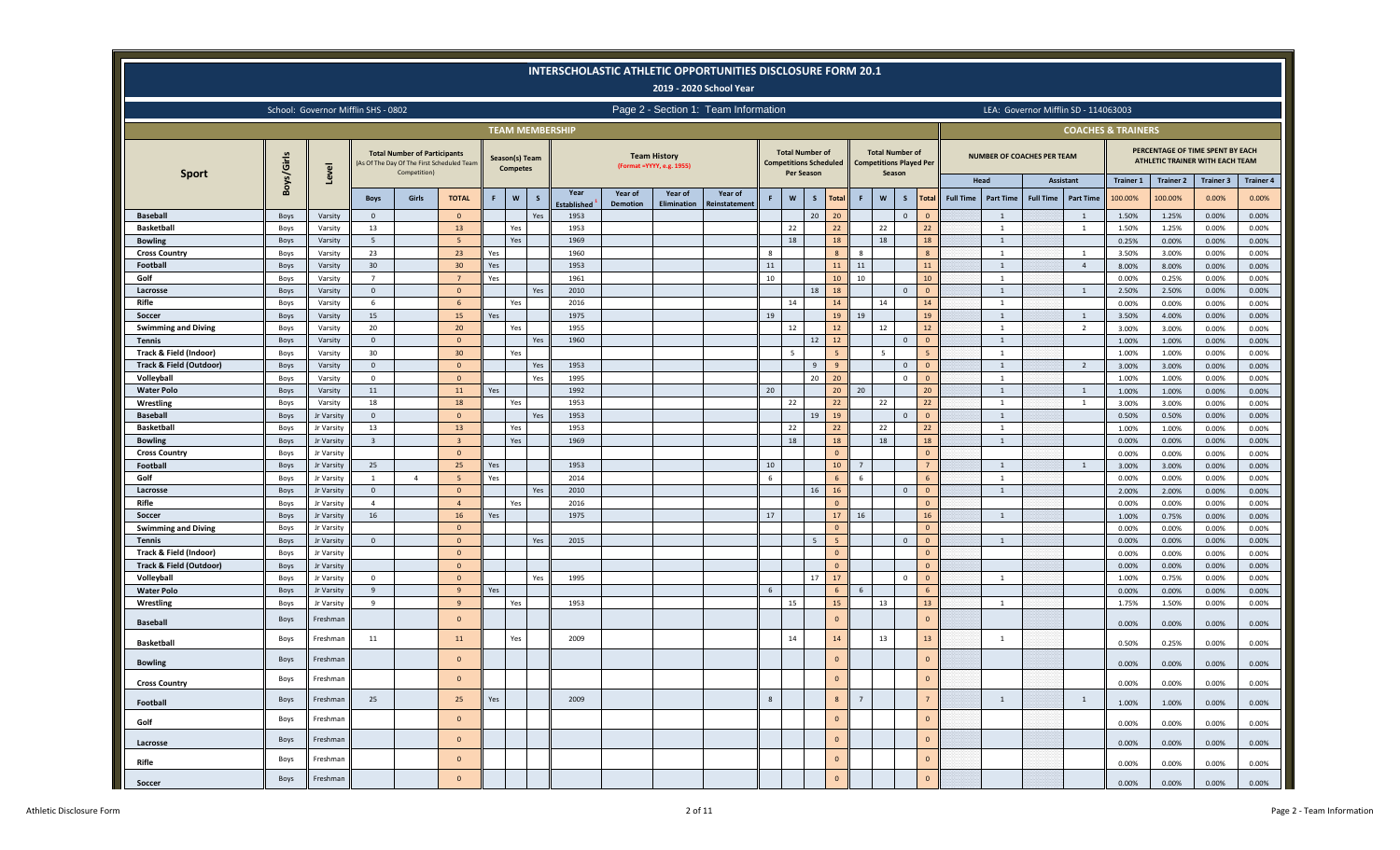|                                             |              |                          |                                     |                                                                                                   |                |             |                                   |              |                            |                 |                                                   | INTERSCHOLASTIC ATHLETIC OPPORTUNITIES DISCLOSURE FORM 20.1<br>2019 - 2020 School Year |        |                   |                                                         |                 |              |                                                                    |                 |                          |                  |                                      |                                  |                               |                                                                     |                           |                           |
|---------------------------------------------|--------------|--------------------------|-------------------------------------|---------------------------------------------------------------------------------------------------|----------------|-------------|-----------------------------------|--------------|----------------------------|-----------------|---------------------------------------------------|----------------------------------------------------------------------------------------|--------|-------------------|---------------------------------------------------------|-----------------|--------------|--------------------------------------------------------------------|-----------------|--------------------------|------------------|--------------------------------------|----------------------------------|-------------------------------|---------------------------------------------------------------------|---------------------------|---------------------------|
|                                             |              |                          | School: Governor Mifflin SHS - 0802 |                                                                                                   |                |             |                                   |              |                            |                 |                                                   | Page 2 - Section 1: Team Information                                                   |        |                   |                                                         |                 |              |                                                                    |                 |                          |                  | LEA: Governor Mifflin SD - 114063003 |                                  |                               |                                                                     |                           |                           |
|                                             |              |                          |                                     |                                                                                                   |                |             |                                   |              | <b>TEAM MEMBERSHIP</b>     |                 |                                                   |                                                                                        |        |                   |                                                         |                 |              |                                                                    |                 |                          |                  |                                      |                                  | <b>COACHES &amp; TRAINERS</b> |                                                                     |                           |                           |
| <b>Sport</b>                                | Boys/Girls   | Level                    |                                     | <b>Total Number of Participants</b><br>(As Of The Day Of The First Scheduled Team<br>Competition) |                |             | Season(s) Team<br><b>Competes</b> |              |                            |                 | <b>Team History</b><br>(Format = YYYY, e.g. 1955) |                                                                                        |        | <b>Per Season</b> | <b>Total Number of</b><br><b>Competitions Scheduled</b> |                 |              | <b>Total Number of</b><br><b>Competitions Played Per</b><br>Season |                 |                          |                  | <b>NUMBER OF COACHES PER TEAM</b>    |                                  |                               | PERCENTAGE OF TIME SPENT BY EACH<br>ATHLETIC TRAINER WITH EACH TEAM |                           |                           |
|                                             |              |                          | <b>Boys</b>                         | Girls                                                                                             | <b>TOTAL</b>   | $\mathsf F$ | $\boldsymbol{\mathsf{w}}$         | $\mathsf{s}$ | Year                       | Year of         | Year of<br>Elimination                            | Year of                                                                                |        | $\mathsf{w}$      | $\mathsf{s}$<br><b>Total</b>                            | F.              | $\mathbf{w}$ | S                                                                  | <b>Total</b>    | Head<br><b>Full Time</b> | <b>Part Time</b> | Assistant<br><b>Full Time</b>        | <b>Part Time</b>                 | <b>Trainer 1</b><br>100.00%   | <b>Trainer 2</b><br>100.00%                                         | <b>Trainer 3</b><br>0.00% | <b>Trainer 4</b><br>0.00% |
| <b>Baseball</b>                             | Boys         | Varsity                  | $\overline{0}$                      |                                                                                                   | $\Omega$       |             |                                   | Yes          | <b>Established</b><br>1953 | <b>Demotion</b> |                                                   | <b>leinstatement</b>                                                                   |        |                   | 20<br>20                                                |                 |              | $\Omega$                                                           | $\Omega$        |                          | 1                |                                      | $\overline{1}$                   | 1.50%                         | 1.25%                                                               | 0.00%                     | 0.00%                     |
| <b>Basketball</b>                           | Boys         | Varsity                  | 13                                  |                                                                                                   | 13             |             | Yes                               |              | 1953                       |                 |                                                   |                                                                                        |        | 22                | 22                                                      |                 | 22           |                                                                    | 22              |                          | $\overline{1}$   |                                      | $\overline{1}$                   | 1.50%                         | 1.25%                                                               | 0.00%                     | 0.00%                     |
| <b>Bowling</b>                              | Boys         | Varsity                  | -5                                  |                                                                                                   | -5             |             | Yes                               |              | 1969                       |                 |                                                   |                                                                                        |        | 18                | 18                                                      |                 | 18           |                                                                    | 18              |                          | 1                |                                      |                                  | 0.25%                         | 0.00%                                                               | 0.00%                     | 0.00%                     |
| <b>Cross Country</b>                        | Boys         | Varsity                  | 23                                  |                                                                                                   | 23             | Yes         |                                   |              | 1960                       |                 |                                                   |                                                                                        | 8      |                   | 8                                                       | -8              |              |                                                                    | 8               |                          | 1                |                                      | <sup>1</sup>                     | 3.50%                         | 3.00%                                                               | 0.00%                     | 0.00%                     |
| Football                                    | Boys         | Varsity                  | 30                                  |                                                                                                   | 30             | Yes         |                                   |              | 1953                       |                 |                                                   |                                                                                        | 11     |                   | 11                                                      | 11              |              |                                                                    | 11              |                          | 1                |                                      | $\overline{4}$                   | 8.00%                         | 8.00%                                                               | 0.00%                     | 0.00%                     |
| Golf                                        | Boys         | Varsity                  | $\overline{7}$                      |                                                                                                   | $\overline{7}$ | Yes         |                                   |              | 1961                       |                 |                                                   |                                                                                        | 10     |                   | 10                                                      | 10              |              |                                                                    | 10              |                          | 1                |                                      |                                  | 0.00%                         | 0.25%                                                               | 0.00%                     | 0.00%                     |
| Lacrosse                                    | Boys         | Varsity                  | $\overline{0}$                      |                                                                                                   | $\Omega$       |             |                                   | Yes          | 2010                       |                 |                                                   |                                                                                        |        |                   | 18<br>18                                                |                 |              | $\Omega$                                                           | $\Omega$        |                          | 1                |                                      | $\overline{1}$                   | 2.50%                         | 2.50%                                                               | 0.00%                     | 0.00%                     |
| Rifle                                       | Boys         | Varsity                  | -6                                  |                                                                                                   |                |             | Yes                               |              | 2016                       |                 |                                                   |                                                                                        |        | 14                | 14                                                      |                 | 14           |                                                                    | 14              |                          | 1                |                                      |                                  | 0.00%                         | 0.00%                                                               | 0.00%                     | 0.00%                     |
| Soccer                                      | Boys         | Varsity                  | 15<br>20                            |                                                                                                   | 15<br>20       | Yes         |                                   |              | 1975<br>1955               |                 |                                                   |                                                                                        | 19     | 12                | 19<br>12                                                | 19              | 12           |                                                                    | 19<br>12        |                          | 1<br>1           |                                      | $\overline{1}$<br>$\overline{2}$ | 3.50%                         | 4.00%                                                               | 0.00%                     | 0.00%                     |
| <b>Swimming and Diving</b><br><b>Tennis</b> | Boys<br>Boys | Varsity<br>Varsity       | $\overline{0}$                      |                                                                                                   | $\Omega$       |             | Yes                               | Yes          | 1960                       |                 |                                                   |                                                                                        |        |                   | 12<br>12                                                |                 |              | $\mathbf{0}$                                                       | $\Omega$        |                          | 1                |                                      |                                  | 3.00%<br>1.00%                | 3.00%<br>1.00%                                                      | 0.00%<br>0.00%            | 0.00%<br>0.00%            |
| Track & Field (Indoor)                      | Boys         | Varsity                  | 30                                  |                                                                                                   | 30             |             | Yes                               |              |                            |                 |                                                   |                                                                                        |        | 5                 |                                                         |                 |              |                                                                    |                 |                          | $\overline{1}$   |                                      |                                  | 1.00%                         | 1.00%                                                               | 0.00%                     | 0.00%                     |
| <b>Track &amp; Field (Outdoor)</b>          | Boys         | Varsity                  | $\overline{0}$                      |                                                                                                   | $\Omega$       |             |                                   | Yes          | 1953                       |                 |                                                   |                                                                                        |        |                   | $\overline{9}$<br>9                                     |                 |              | $\mathbf{0}$                                                       | $\Omega$        |                          | 1                |                                      | $\overline{2}$                   | 3.00%                         | 3.00%                                                               | 0.00%                     | 0.00%                     |
| Volleyball                                  | Boys         | Varsity                  | $\overline{0}$                      |                                                                                                   | $\Omega$       |             |                                   | Yes          | 1995                       |                 |                                                   |                                                                                        |        |                   | 20<br>20                                                |                 |              | $\Omega$                                                           | $\Omega$        |                          | 1                |                                      |                                  | 1.00%                         | 1.00%                                                               | 0.00%                     | 0.00%                     |
| <b>Water Polo</b>                           | Boys         | Varsity                  | 11                                  |                                                                                                   | 11             | Yes         |                                   |              | 1992                       |                 |                                                   |                                                                                        | 20     |                   | 20 <sub>2</sub>                                         | 20              |              |                                                                    | 20              |                          | 1                |                                      | $\overline{1}$                   | 1.00%                         | 1.00%                                                               | 0.00%                     | 0.00%                     |
| Wrestling                                   | Boys         | Varsity                  | 18                                  |                                                                                                   | 18             |             | Yes                               |              | 1953                       |                 |                                                   |                                                                                        |        | 22                | $22$                                                    |                 | 22           |                                                                    | 22              |                          | $\overline{1}$   |                                      | $\overline{1}$                   | 3.00%                         | 3.00%                                                               | 0.00%                     | 0.00%                     |
| <b>Baseball</b>                             | Boys         | Jr Varsity               | $\mathbf{0}$                        |                                                                                                   | $\Omega$       |             |                                   | Yes          | 1953                       |                 |                                                   |                                                                                        |        |                   | 19<br>19                                                |                 |              | $\Omega$                                                           | $\Omega$        |                          | 1                |                                      |                                  | 0.50%                         | 0.50%                                                               | 0.00%                     | 0.00%                     |
| <b>Basketball</b>                           | Boys         | Jr Varsity               | 13                                  |                                                                                                   | 13             |             | Yes                               |              | 1953                       |                 |                                                   |                                                                                        |        | 22                | 22                                                      |                 | 22           |                                                                    | 22              |                          | 1                |                                      |                                  | 1.00%                         | 1.00%                                                               | 0.00%                     | 0.00%                     |
| <b>Bowling</b>                              | Boys         | Jr Varsity               | $\overline{3}$                      |                                                                                                   |                |             | Yes                               |              | 1969                       |                 |                                                   |                                                                                        |        | 18                | 18                                                      |                 | 18           |                                                                    | 18              |                          | 1                |                                      |                                  | 0.00%                         | 0.00%                                                               | 0.00%                     | 0.00%                     |
| <b>Cross Country</b>                        | Boys         | Jr Varsity               |                                     |                                                                                                   | $\Omega$       |             |                                   |              |                            |                 |                                                   |                                                                                        |        |                   | $\mathbf{0}$                                            |                 |              |                                                                    | $\Omega$        |                          |                  |                                      |                                  | 0.00%                         | 0.00%                                                               | 0.00%                     | 0.00%                     |
| Football                                    | Boys         | Jr Varsity               | 25                                  |                                                                                                   | 25             | Yes         |                                   |              | 1953                       |                 |                                                   |                                                                                        | 10     |                   | 10                                                      | $\overline{7}$  |              |                                                                    |                 |                          | 1                |                                      | 1                                | 3.00%                         | 3.00%                                                               | 0.00%                     | 0.00%                     |
| Golf                                        | Boys         | Jr Varsity               | 1                                   | $\overline{4}$                                                                                    | -5             | Yes         |                                   |              | 2014                       |                 |                                                   |                                                                                        | 6      |                   | -6                                                      | -6              |              |                                                                    |                 |                          | 1                |                                      |                                  | 0.00%                         | 0.00%                                                               | 0.00%                     | 0.00%                     |
| Lacrosse                                    | Boys         | Jr Varsity               | $\mathbf{0}$<br>$\overline{4}$      |                                                                                                   | $\Omega$       |             |                                   | Yes          | 2010<br>2016               |                 |                                                   |                                                                                        |        |                   | 16<br>16                                                |                 |              | $\mathbf{0}$                                                       | $\Omega$        |                          | 1                |                                      |                                  | 2.00%                         | 2.00%                                                               | 0.00%                     | 0.00%                     |
| Rifle                                       | Boys<br>Boys | Jr Varsity<br>Jr Varsity | 16                                  |                                                                                                   | 16             | Yes         | Yes                               |              | 1975                       |                 |                                                   |                                                                                        | 17     |                   | $\mathbf{0}$<br>17                                      | 16              |              |                                                                    | $\Omega$<br>16  |                          | 1                |                                      |                                  | 0.00%<br>1.00%                | 0.00%<br>0.75%                                                      | 0.00%<br>0.00%            | 0.00%<br>0.00%            |
| Soccer<br><b>Swimming and Diving</b>        | Boys         | Jr Varsity               |                                     |                                                                                                   | $\Omega$       |             |                                   |              |                            |                 |                                                   |                                                                                        |        |                   | $\Omega$                                                |                 |              |                                                                    | $\Omega$        |                          |                  |                                      |                                  | 0.00%                         | 0.00%                                                               | 0.00%                     | 0.00%                     |
| <b>Tennis</b>                               | Boys         | Jr Varsity               | $\mathbf{0}$                        |                                                                                                   | $\Omega$       |             |                                   | Yes          | 2015                       |                 |                                                   |                                                                                        |        |                   | 5<br>5 <sup>5</sup>                                     |                 |              | $\mathbf{0}$                                                       | $\Omega$        |                          | $\overline{1}$   |                                      |                                  | 0.00%                         | 0.00%                                                               | 0.00%                     | 0.00%                     |
| Track & Field (Indoor)                      | Boys         | Jr Varsity               |                                     |                                                                                                   | $\mathbf{0}$   |             |                                   |              |                            |                 |                                                   |                                                                                        |        |                   | $\mathbf{0}$                                            |                 |              |                                                                    | $\Omega$        |                          |                  |                                      |                                  | 0.00%                         | 0.00%                                                               | 0.00%                     | 0.00%                     |
| <b>Track &amp; Field (Outdoor)</b>          | Boys         | Jr Varsity               |                                     |                                                                                                   | $\Omega$       |             |                                   |              |                            |                 |                                                   |                                                                                        |        |                   | $\mathbf{0}$                                            |                 |              |                                                                    | $\Omega$        |                          |                  |                                      |                                  | 0.00%                         | 0.00%                                                               | 0.00%                     | 0.00%                     |
| Volleyball                                  | Boys         | Jr Varsity               | $\overline{0}$                      |                                                                                                   | $\Omega$       |             |                                   | Yes          | 1995                       |                 |                                                   |                                                                                        |        |                   | 17<br>17                                                |                 |              | $\Omega$                                                           | $\Omega$        |                          | $\overline{1}$   |                                      |                                  | 1.00%                         | 0.75%                                                               | 0.00%                     | 0.00%                     |
| <b>Water Polo</b>                           | Boys         | Jr Varsity               | 9                                   |                                                                                                   | $\mathbf{q}$   | Yes         |                                   |              |                            |                 |                                                   |                                                                                        | 6      |                   | 6                                                       | 6               |              |                                                                    | $6\overline{6}$ |                          |                  |                                      |                                  | 0.00%                         | 0.00%                                                               | 0.00%                     | 0.00%                     |
| Wrestling                                   | Boys         | Jr Varsity               | -9                                  |                                                                                                   | 9              |             | Yes                               |              | 1953                       |                 |                                                   |                                                                                        |        | 15                | 15                                                      |                 | 13           |                                                                    | 13              |                          | 1                |                                      |                                  | 1.75%                         | 1.50%                                                               | 0.00%                     | 0.00%                     |
| <b>Baseball</b>                             | Boys         | Freshman                 |                                     |                                                                                                   | $\Omega$       |             |                                   |              |                            |                 |                                                   |                                                                                        |        |                   | $\circ$                                                 |                 |              |                                                                    | $\mathbf{0}$    |                          |                  |                                      |                                  | 0.00%                         | 0.00%                                                               | 0.00%                     | 0.00%                     |
| <b>Basketball</b>                           | Boys         | Freshman                 | 11                                  |                                                                                                   | 11             |             | Yes                               |              | 2009                       |                 |                                                   |                                                                                        |        | 14                | 14                                                      |                 | 13           |                                                                    | 13              |                          | $\overline{1}$   |                                      |                                  | 0.50%                         | 0.25%                                                               | 0.00%                     | 0.00%                     |
| <b>Bowling</b>                              | Boys         | Freshman                 |                                     |                                                                                                   | $\Omega$       |             |                                   |              |                            |                 |                                                   |                                                                                        |        |                   | $\circ$                                                 |                 |              |                                                                    | $\mathbf 0$     |                          |                  |                                      |                                  | 0.00%                         | 0.00%                                                               | 0.00%                     | 0.00%                     |
| <b>Cross Country</b>                        | Boys         | Freshman                 |                                     |                                                                                                   | $\mathbf{0}$   |             |                                   |              |                            |                 |                                                   |                                                                                        |        |                   | $\mathbf{0}$                                            |                 |              |                                                                    | $\mathbf{0}$    |                          |                  |                                      |                                  | 0.00%                         | 0.00%                                                               | 0.00%                     | 0.00%                     |
| Football                                    | Boys         | Freshman                 | 25                                  |                                                                                                   | 25             | Yes         |                                   |              | 2009                       |                 |                                                   |                                                                                        | $\,$ 8 |                   | 8                                                       | $7\overline{ }$ |              |                                                                    | $\overline{7}$  |                          | $\mathbf{1}$     |                                      | 1                                | 1.00%                         | 1.00%                                                               | 0.00%                     | 0.00%                     |
| Golf                                        | Boys         | Freshman                 |                                     |                                                                                                   | $\mathbf{0}$   |             |                                   |              |                            |                 |                                                   |                                                                                        |        |                   | $\overline{0}$                                          |                 |              |                                                                    | $\mathbf{0}$    |                          |                  |                                      |                                  | 0.00%                         | 0.00%                                                               | 0.00%                     | 0.00%                     |
| Lacrosse                                    | Boys         | Freshman                 |                                     |                                                                                                   | $\mathbf{0}$   |             |                                   |              |                            |                 |                                                   |                                                                                        |        |                   | $\circ$                                                 |                 |              |                                                                    | $\mathbf 0$     |                          |                  |                                      |                                  | 0.00%                         | 0.00%                                                               | 0.00%                     | 0.00%                     |
| Rifle                                       | Boys         | Freshman                 |                                     |                                                                                                   | $\overline{0}$ |             |                                   |              |                            |                 |                                                   |                                                                                        |        |                   | $\circ$                                                 |                 |              |                                                                    | $\mathbf 0$     |                          |                  |                                      |                                  | 0.00%                         | 0.00%                                                               | 0.00%                     | 0.00%                     |
| Soccer                                      | Boys         | Freshman                 |                                     |                                                                                                   | $\mathbf{0}$   |             |                                   |              |                            |                 |                                                   |                                                                                        |        |                   | $\circ$                                                 |                 |              |                                                                    | $\mathbf 0$     |                          |                  |                                      |                                  | 0.00%                         | 0.00%                                                               | 0.00%                     | 0.00%                     |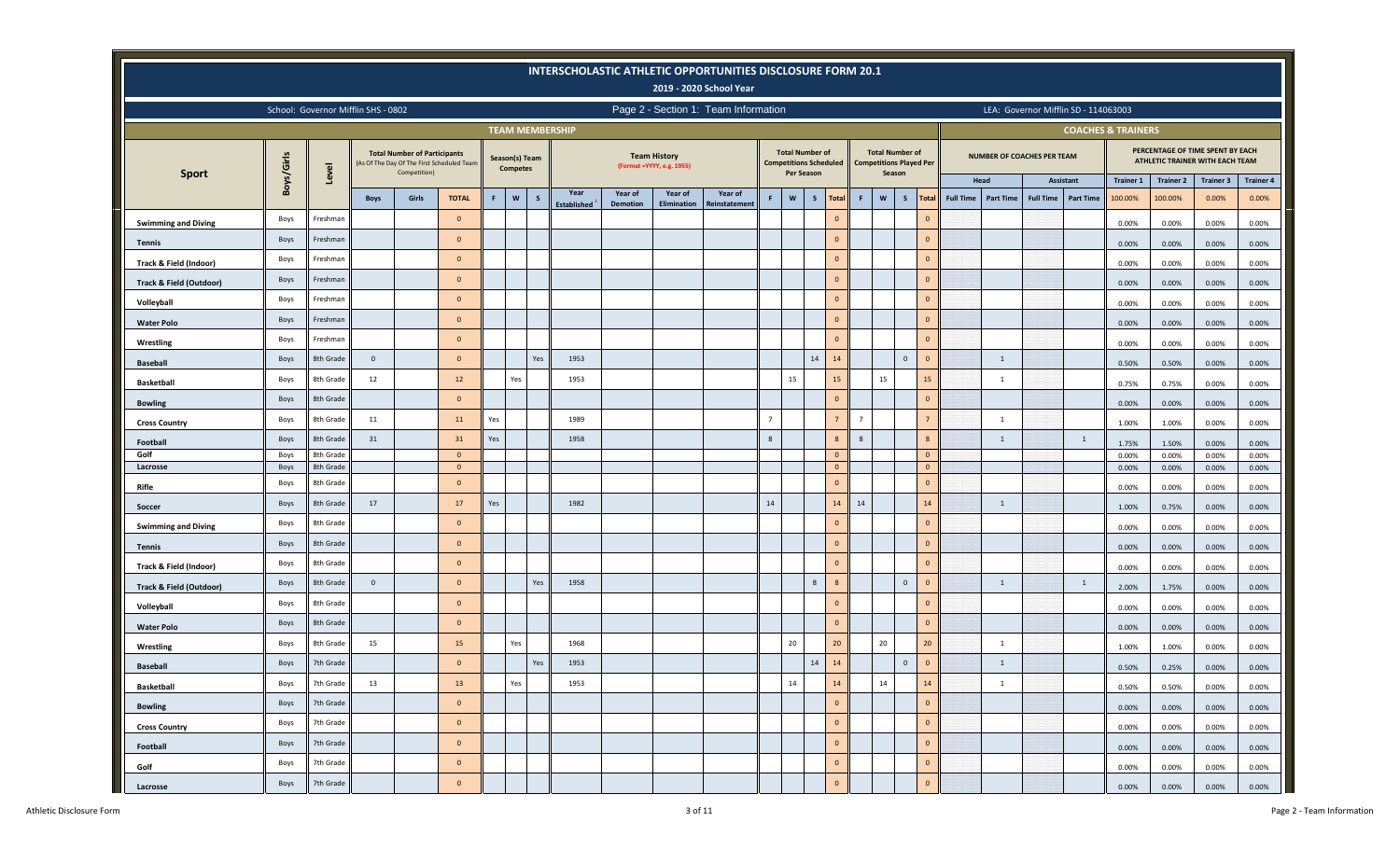|                                    |              |                                     |              |                                                                                                   |                           |     |                                   |              |                    |                 |                                                   | INTERSCHOLASTIC ATHLETIC OPPORTUNITIES DISCLOSURE FORM 20.1<br>2019 - 2020 School Year |                |                   |                                                         |                |              |                                                          |                                  |                          |                  |                                   |                                      |                               |                                                                     |                           |                  |
|------------------------------------|--------------|-------------------------------------|--------------|---------------------------------------------------------------------------------------------------|---------------------------|-----|-----------------------------------|--------------|--------------------|-----------------|---------------------------------------------------|----------------------------------------------------------------------------------------|----------------|-------------------|---------------------------------------------------------|----------------|--------------|----------------------------------------------------------|----------------------------------|--------------------------|------------------|-----------------------------------|--------------------------------------|-------------------------------|---------------------------------------------------------------------|---------------------------|------------------|
|                                    |              | School: Governor Mifflin SHS - 0802 |              |                                                                                                   |                           |     |                                   |              |                    |                 |                                                   | Page 2 - Section 1: Team Information                                                   |                |                   |                                                         |                |              |                                                          |                                  |                          |                  |                                   | LEA: Governor Mifflin SD - 114063003 |                               |                                                                     |                           |                  |
|                                    |              |                                     |              |                                                                                                   |                           |     | <b>TEAM MEMBERSHIP</b>            |              |                    |                 |                                                   |                                                                                        |                |                   |                                                         |                |              |                                                          |                                  |                          |                  |                                   |                                      | <b>COACHES &amp; TRAINERS</b> |                                                                     |                           |                  |
| <b>Sport</b>                       | Boys/Girls   | Level                               |              | <b>Total Number of Participants</b><br>(As Of The Day Of The First Scheduled Team<br>Competition) |                           |     | Season(s) Team<br><b>Competes</b> |              |                    |                 | <b>Team History</b><br>(Format = YYYY, e.g. 1955) |                                                                                        |                | <b>Per Season</b> | <b>Total Number of</b><br><b>Competitions Scheduled</b> |                | Season       | <b>Total Number of</b><br><b>Competitions Played Per</b> |                                  |                          |                  | <b>NUMBER OF COACHES PER TEAM</b> |                                      |                               | PERCENTAGE OF TIME SPENT BY EACH<br>ATHLETIC TRAINER WITH EACH TEAM |                           |                  |
|                                    |              |                                     |              | Girls                                                                                             | <b>TOTAL</b>              | F.  | $\mathsf{w}$                      | $\mathsf{s}$ | Year               | Year of         | Year of                                           | Year of                                                                                | F.             | $\mathsf{w}$      | S                                                       | $\mathbf{F}$   | $\mathsf{w}$ | $\mathsf{s}$                                             | <b>Total</b>                     | Head<br><b>Full Time</b> |                  | <b>Full Time</b>                  | Assistant<br><b>Part Time</b>        | <b>Trainer 1</b><br>100.00%   | <b>Trainer 2</b><br>100.00%                                         | <b>Trainer 3</b><br>0.00% | <b>Trainer 4</b> |
|                                    |              |                                     | <b>Boys</b>  |                                                                                                   | $\circ$                   |     |                                   |              | <b>Established</b> | <b>Demotion</b> | Elimination                                       | Reinstatement                                                                          |                |                   | <b>Total</b><br>$\mathbf{0}$                            |                |              |                                                          | $\circ$                          |                          | <b>Part Time</b> |                                   |                                      |                               |                                                                     |                           | 0.00%            |
| <b>Swimming and Diving</b>         | Boys         | Freshman                            |              |                                                                                                   |                           |     |                                   |              |                    |                 |                                                   |                                                                                        |                |                   |                                                         |                |              |                                                          |                                  |                          |                  |                                   |                                      | 0.00%                         | 0.00%                                                               | 0.00%                     | 0.00%            |
| Tennis                             | Boys         | Freshman                            |              |                                                                                                   | $\overline{0}$            |     |                                   |              |                    |                 |                                                   |                                                                                        |                |                   | $\mathbf{0}$                                            |                |              |                                                          | $\circ$                          |                          |                  |                                   |                                      | 0.00%                         | 0.00%                                                               | 0.00%                     | 0.00%            |
| Track & Field (Indoor)             | Boys         | Freshman                            |              |                                                                                                   | $\overline{0}$            |     |                                   |              |                    |                 |                                                   |                                                                                        |                |                   | $\mathbf{0}$                                            |                |              |                                                          | $\overline{0}$                   |                          |                  |                                   |                                      | 0.00%                         | 0.00%                                                               | 0.00%                     | 0.00%            |
| <b>Track &amp; Field (Outdoor)</b> | Boys         | Freshman                            |              |                                                                                                   | $\overline{0}$            |     |                                   |              |                    |                 |                                                   |                                                                                        |                |                   | $\mathbf{0}$                                            |                |              |                                                          | $\circ$                          |                          |                  |                                   |                                      | 0.00%                         | 0.00%                                                               | 0.00%                     | 0.00%            |
| Volleyball                         | Boys         | Freshman                            |              |                                                                                                   | $\Omega$                  |     |                                   |              |                    |                 |                                                   |                                                                                        |                |                   | $\circ$                                                 |                |              |                                                          | $\circ$                          |                          |                  |                                   |                                      | 0.00%                         | 0.00%                                                               | 0.00%                     | 0.00%            |
| <b>Water Polo</b>                  | Boys         | Freshman                            |              |                                                                                                   | $\mathbf{0}$              |     |                                   |              |                    |                 |                                                   |                                                                                        |                |                   | $\overline{0}$                                          |                |              |                                                          | $\overline{0}$                   |                          |                  |                                   |                                      | 0.00%                         | 0.00%                                                               | 0.00%                     | 0.00%            |
| Wrestling                          | Boys         | Freshman                            |              |                                                                                                   | $\mathbf{0}$              |     |                                   |              |                    |                 |                                                   |                                                                                        |                |                   | $\mathbf{0}$                                            |                |              |                                                          | $\circ$                          |                          |                  |                                   |                                      | 0.00%                         | 0.00%                                                               | 0.00%                     | 0.00%            |
| <b>Baseball</b>                    | Boys         | 8th Grade                           | $\mathbf 0$  |                                                                                                   | $\overline{0}$            |     |                                   | Yes          | 1953               |                 |                                                   |                                                                                        |                |                   | 14<br>14                                                |                |              | $\mathsf 0$                                              | $\overline{0}$                   |                          | $\overline{1}$   |                                   |                                      | 0.50%                         | 0.50%                                                               | 0.00%                     | 0.00%            |
| <b>Basketball</b>                  | Boys         | 8th Grade                           | 12           |                                                                                                   | 12                        |     | Yes                               |              | 1953               |                 |                                                   |                                                                                        |                | 15                | 15                                                      |                | 15           |                                                          | 15                               |                          | 1                |                                   |                                      | 0.75%                         | 0.75%                                                               | 0.00%                     | 0.00%            |
| <b>Bowling</b>                     | Boys         | 8th Grade                           |              |                                                                                                   | $\circ$                   |     |                                   |              |                    |                 |                                                   |                                                                                        |                |                   | $\circ$                                                 |                |              |                                                          | $\overline{0}$                   |                          |                  |                                   |                                      | 0.00%                         | 0.00%                                                               | 0.00%                     | 0.00%            |
| <b>Cross Country</b>               | Boys         | 8th Grade                           | ${\bf 11}$   |                                                                                                   | 11                        | Yes |                                   |              | 1989               |                 |                                                   |                                                                                        | $\overline{7}$ |                   | $7\overline{ }$                                         | $\overline{7}$ |              |                                                          | $7\overline{ }$                  |                          | $\overline{1}$   |                                   |                                      | 1.00%                         | 1.00%                                                               | 0.00%                     | 0.00%            |
| Football                           | Boys         | 8th Grade                           | 31           |                                                                                                   | 31                        | Yes |                                   |              | 1958               |                 |                                                   |                                                                                        | 8              |                   | 8                                                       | 8              |              |                                                          | 8                                |                          | 1                |                                   | <sup>1</sup>                         | 1.75%                         | 1.50%                                                               | 0.00%                     | 0.00%            |
| Golf<br>Lacrosse                   | Boys<br>Boys | 8th Grade<br>8th Grade              |              |                                                                                                   | $\overline{0}$<br>$\circ$ |     |                                   |              |                    |                 |                                                   |                                                                                        |                |                   | $\overline{0}$<br>$\circ$                               |                |              |                                                          | $\overline{0}$<br>$\overline{0}$ |                          |                  |                                   |                                      | 0.00%<br>0.00%                | 0.00%<br>0.00%                                                      | 0.00%<br>0.00%            | 0.00%<br>0.00%   |
| Rifle                              | Boys         | 8th Grade                           |              |                                                                                                   | $\mathbf{0}$              |     |                                   |              |                    |                 |                                                   |                                                                                        |                |                   | $\circ$                                                 |                |              |                                                          | $\mathbf{0}$                     |                          |                  |                                   |                                      |                               |                                                                     |                           |                  |
| Soccer                             | Boys         | 8th Grade                           | 17           |                                                                                                   | 17                        | Yes |                                   |              | 1982               |                 |                                                   |                                                                                        | 14             |                   | 14                                                      | 14             |              |                                                          | 14                               |                          | $\overline{1}$   |                                   |                                      | 0.00%<br>1.00%                | 0.00%<br>0.75%                                                      | 0.00%<br>0.00%            | 0.00%<br>0.00%   |
| <b>Swimming and Diving</b>         | Boys         | 8th Grade                           |              |                                                                                                   | $\overline{0}$            |     |                                   |              |                    |                 |                                                   |                                                                                        |                |                   | $\mathbf{0}$                                            |                |              |                                                          | $\circ$                          |                          |                  |                                   |                                      | 0.00%                         | 0.00%                                                               | 0.00%                     | 0.00%            |
| <b>Tennis</b>                      | Boys         | 8th Grade                           |              |                                                                                                   | $\mathbf{0}$              |     |                                   |              |                    |                 |                                                   |                                                                                        |                |                   | $\overline{0}$                                          |                |              |                                                          | $\mathbf{0}$                     |                          |                  |                                   |                                      | 0.00%                         | 0.00%                                                               | 0.00%                     | 0.00%            |
| Track & Field (Indoor)             | Boys         | 8th Grade                           |              |                                                                                                   | $\Omega$                  |     |                                   |              |                    |                 |                                                   |                                                                                        |                |                   | $\Omega$                                                |                |              |                                                          | $\mathbf{0}$                     |                          |                  |                                   |                                      | 0.00%                         | 0.00%                                                               | 0.00%                     | 0.00%            |
| <b>Track &amp; Field (Outdoor)</b> | Boys         | 8th Grade                           | $\mathbf{0}$ |                                                                                                   | $\mathbf{0}$              |     |                                   | Yes          | 1958               |                 |                                                   |                                                                                        |                |                   | 8<br>8                                                  |                |              | $\mathsf{O}\xspace$                                      | $\mathbf{0}$                     |                          | 1                |                                   | 1                                    | 2.00%                         | 1.75%                                                               | 0.00%                     | 0.00%            |
| Volleyball                         | Boys         | 8th Grade                           |              |                                                                                                   | $\mathbf{0}$              |     |                                   |              |                    |                 |                                                   |                                                                                        |                |                   | $\mathbf{0}$                                            |                |              |                                                          | $\overline{0}$                   |                          |                  |                                   |                                      | 0.00%                         | 0.00%                                                               | 0.00%                     | 0.00%            |
| <b>Water Polo</b>                  | Boys         | 8th Grade                           |              |                                                                                                   | $\mathbf{0}$              |     |                                   |              |                    |                 |                                                   |                                                                                        |                |                   | $\mathbf{0}$                                            |                |              |                                                          | $\mathbf{0}$                     |                          |                  |                                   |                                      | 0.00%                         | 0.00%                                                               | 0.00%                     | 0.00%            |
| Wrestling                          | Boys         | 8th Grade                           | 15           |                                                                                                   | 15                        |     | Yes                               |              | 1968               |                 |                                                   |                                                                                        |                | 20                | 20 <sup>°</sup>                                         |                | 20           |                                                          | 20                               |                          | 1                |                                   |                                      | 1.00%                         | 1.00%                                                               | 0.00%                     | 0.00%            |
| <b>Baseball</b>                    | Boys         | 7th Grade                           |              |                                                                                                   | $\Omega$                  |     |                                   | Yes          | 1953               |                 |                                                   |                                                                                        |                |                   | 14<br>14                                                |                |              | $\mathbf 0$                                              | $\overline{0}$                   |                          | $\overline{1}$   |                                   |                                      | 0.50%                         | 0.25%                                                               | 0.00%                     | 0.00%            |
| <b>Basketball</b>                  | Boys         | 7th Grade                           | 13           |                                                                                                   | 13                        |     | Yes                               |              | 1953               |                 |                                                   |                                                                                        |                | 14                | 14                                                      |                | 14           |                                                          | 14                               |                          | 1                |                                   |                                      | 0.50%                         | 0.50%                                                               | 0.00%                     | 0.00%            |
| <b>Bowling</b>                     | Boys         | 7th Grade                           |              |                                                                                                   | $\mathbf{0}$              |     |                                   |              |                    |                 |                                                   |                                                                                        |                |                   | $\overline{0}$                                          |                |              |                                                          | $\mathbf 0$                      |                          |                  |                                   |                                      | 0.00%                         | 0.00%                                                               | 0.00%                     | $0.00\%$         |
| <b>Cross Country</b>               | Boys         | 7th Grade                           |              |                                                                                                   | $\mathbf{0}$              |     |                                   |              |                    |                 |                                                   |                                                                                        |                |                   | $\overline{0}$                                          |                |              |                                                          | $\mathbf 0$                      |                          |                  |                                   |                                      | 0.00%                         | 0.00%                                                               | 0.00%                     | 0.00%            |
| Football                           | Boys         | 7th Grade                           |              |                                                                                                   | $\mathbf{0}$              |     |                                   |              |                    |                 |                                                   |                                                                                        |                |                   | $\circ$                                                 |                |              |                                                          | $\mathbf 0$                      |                          |                  |                                   |                                      | 0.00%                         | 0.00%                                                               | 0.00%                     | 0.00%            |
| Golf                               | Boys         | 7th Grade                           |              |                                                                                                   | $\mathbf{0}$              |     |                                   |              |                    |                 |                                                   |                                                                                        |                |                   | $\overline{0}$                                          |                |              |                                                          | $\overline{0}$                   |                          |                  |                                   |                                      | 0.00%                         | 0.00%                                                               | 0.00%                     | 0.00%            |
| Lacrosse                           | Boys         | 7th Grade                           |              |                                                                                                   | $\mathbf{0}$              |     |                                   |              |                    |                 |                                                   |                                                                                        |                |                   | $\circ$                                                 |                |              |                                                          | $\mathbf 0$                      |                          |                  |                                   |                                      | 0.00%                         | 0.00%                                                               | 0.00%                     | 0.00%            |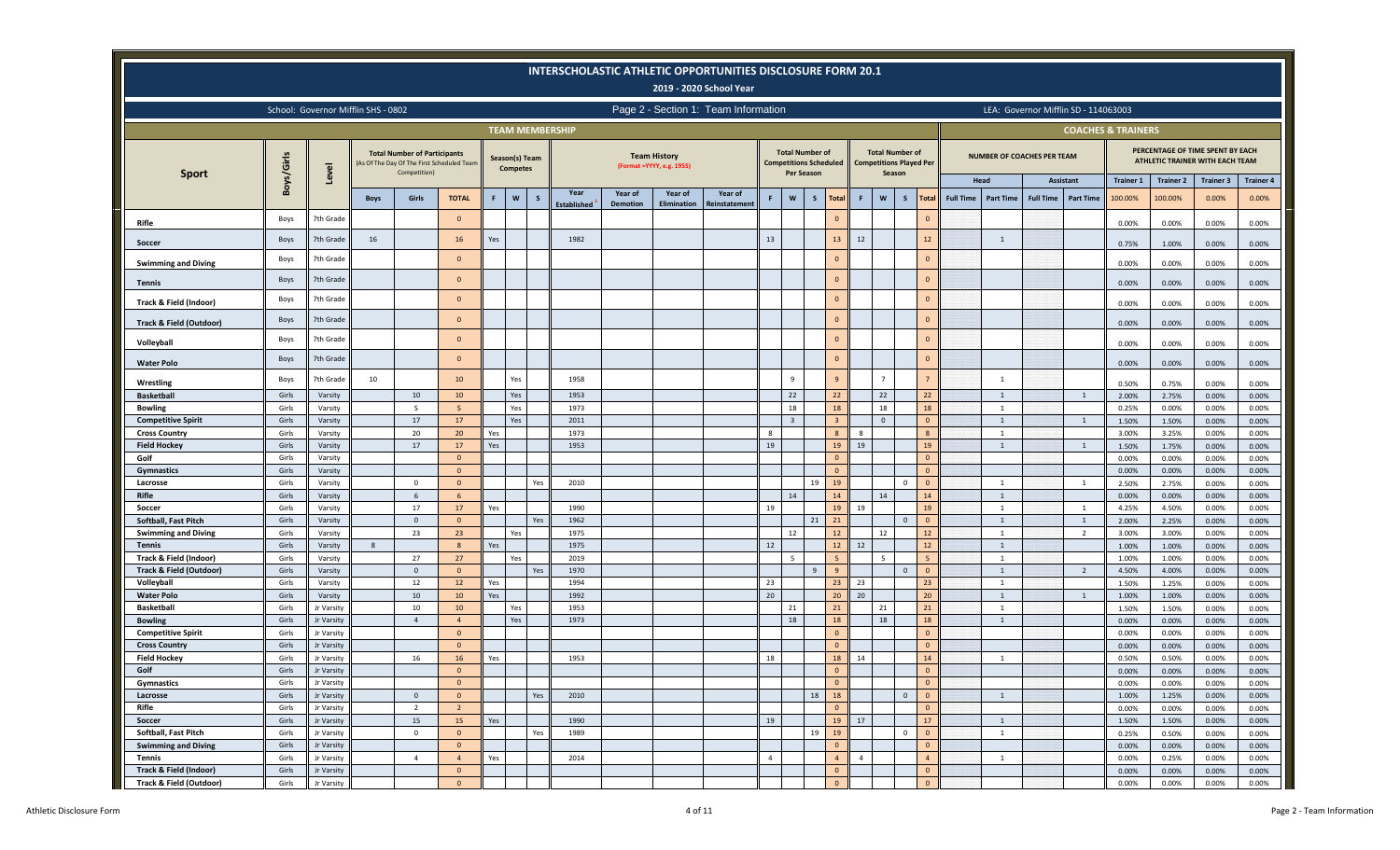|                                                   |                |                                     |             |                                                     |                                           |     |                                   |              |                            |                            |                                                   | <b>INTERSCHOLASTIC ATHLETIC OPPORTUNITIES DISCLOSURE FORM 20.1</b><br>2019 - 2020 School Year |                |                                                                       |              |                                  |                |                                  |                                |                  |                                   |                  |                                      |                               |                                                                     |                  |                  |
|---------------------------------------------------|----------------|-------------------------------------|-------------|-----------------------------------------------------|-------------------------------------------|-----|-----------------------------------|--------------|----------------------------|----------------------------|---------------------------------------------------|-----------------------------------------------------------------------------------------------|----------------|-----------------------------------------------------------------------|--------------|----------------------------------|----------------|----------------------------------|--------------------------------|------------------|-----------------------------------|------------------|--------------------------------------|-------------------------------|---------------------------------------------------------------------|------------------|------------------|
|                                                   |                | School: Governor Mifflin SHS - 0802 |             |                                                     |                                           |     |                                   |              |                            |                            |                                                   | Page 2 - Section 1: Team Information                                                          |                |                                                                       |              |                                  |                |                                  |                                |                  |                                   |                  | LEA: Governor Mifflin SD - 114063003 |                               |                                                                     |                  |                  |
|                                                   |                |                                     |             |                                                     |                                           |     |                                   |              | <b>TEAM MEMBERSHIP</b>     |                            |                                                   |                                                                                               |                |                                                                       |              |                                  |                |                                  |                                |                  |                                   |                  |                                      | <b>COACHES &amp; TRAINERS</b> |                                                                     |                  |                  |
| <b>Sport</b>                                      | Boys/Girls     | Level                               |             | <b>Total Number of Participants</b><br>Competition) | As Of The Day Of The First Scheduled Team |     | Season(s) Team<br><b>Competes</b> |              |                            |                            | <b>Team History</b><br>(Format = YYYY, e.g. 1955) |                                                                                               |                | <b>Total Number of</b><br><b>Competitions Scheduled</b><br>Per Season |              |                                  |                | <b>Total Number of</b><br>Season | <b>Competitions Played Per</b> |                  | <b>NUMBER OF COACHES PER TEAM</b> |                  |                                      |                               | PERCENTAGE OF TIME SPENT BY EACH<br>ATHLETIC TRAINER WITH EACH TEAM |                  |                  |
|                                                   |                |                                     |             |                                                     |                                           |     |                                   |              |                            |                            |                                                   |                                                                                               |                |                                                                       |              |                                  |                |                                  |                                |                  | Head                              |                  | <b>Assistant</b>                     | <b>Trainer 1</b>              | <b>Trainer 2</b>                                                    | <b>Trainer 3</b> | <b>Trainer 4</b> |
|                                                   |                |                                     | <b>Boys</b> | <b>Girls</b>                                        | <b>TOTAL</b>                              | F.  | $\mathsf{w}$                      | $\mathsf{s}$ | Year<br><b>Established</b> | Year of<br><b>Demotion</b> | Year of<br><b>Elimination</b>                     | Year of<br><b>Reinstatement</b>                                                               | F.             | W                                                                     | $\mathsf{s}$ | <b>Total</b>                     | $\mathsf F$    | W<br>S                           | <b>Total</b>                   | <b>Full Time</b> | <b>Part Time</b>                  | <b>Full Time</b> | <b>Part Time</b>                     | 100.00%                       | 100.00%                                                             | 0.00%            | 0.00%            |
| Rifle                                             | Boys           | 7th Grade                           |             |                                                     | $\mathbf{0}$                              |     |                                   |              |                            |                            |                                                   |                                                                                               |                |                                                                       |              | $\mathbf{0}$                     |                |                                  | $\overline{0}$                 |                  |                                   |                  |                                      | 0.00%                         | 0.00%                                                               | 0.00%            | 0.00%            |
| Soccer                                            | Boys           | 7th Grade                           | 16          |                                                     | 16                                        | Yes |                                   |              | 1982                       |                            |                                                   |                                                                                               | 13             |                                                                       |              | 13                               | $12\,$         |                                  | 12                             |                  | $\overline{1}$                    |                  |                                      | 0.75%                         | 1.00%                                                               | 0.00%            | 0.00%            |
|                                                   | Boys           | 7th Grade                           |             |                                                     | $\Omega$                                  |     |                                   |              |                            |                            |                                                   |                                                                                               |                |                                                                       |              | $\Omega$                         |                |                                  | $\mathbf{0}$                   |                  |                                   |                  |                                      |                               |                                                                     |                  |                  |
| <b>Swimming and Diving</b>                        |                |                                     |             |                                                     |                                           |     |                                   |              |                            |                            |                                                   |                                                                                               |                |                                                                       |              |                                  |                |                                  |                                |                  |                                   |                  |                                      | 0.00%                         | 0.00%                                                               | 0.00%            | 0.00%            |
| Tennis                                            | Boys           | 7th Grade                           |             |                                                     | $\mathbf{0}$                              |     |                                   |              |                            |                            |                                                   |                                                                                               |                |                                                                       |              | $\Omega$                         |                |                                  | $\overline{0}$                 |                  |                                   |                  |                                      | 0.00%                         | 0.00%                                                               | 0.00%            | 0.00%            |
| Track & Field (Indoor)                            | Boys           | 7th Grade                           |             |                                                     | $\Omega$                                  |     |                                   |              |                            |                            |                                                   |                                                                                               |                |                                                                       |              | $\mathbf{0}$                     |                |                                  | $\Omega$                       |                  |                                   |                  |                                      | 0.00%                         | 0.00%                                                               | 0.00%            | 0.00%            |
| <b>Track &amp; Field (Outdoor)</b>                | Boys           | 7th Grade                           |             |                                                     | $\mathbf{0}$                              |     |                                   |              |                            |                            |                                                   |                                                                                               |                |                                                                       |              | $\Omega$                         |                |                                  | $\mathbf{0}$                   |                  |                                   |                  |                                      | 0.00%                         | 0.00%                                                               | 0.00%            | 0.00%            |
| Volleyball                                        | Boys           | 7th Grade                           |             |                                                     | $\mathbf{0}$                              |     |                                   |              |                            |                            |                                                   |                                                                                               |                |                                                                       |              | $\Omega$                         |                |                                  | $\mathbf{0}$                   |                  |                                   |                  |                                      | 0.00%                         | 0.00%                                                               | 0.00%            | 0.00%            |
| <b>Water Polo</b>                                 | Boys           | 7th Grade                           |             |                                                     | $\Omega$                                  |     |                                   |              |                            |                            |                                                   |                                                                                               |                |                                                                       |              | $\Omega$                         |                |                                  | $\circ$                        |                  |                                   |                  |                                      | 0.00%                         | 0.00%                                                               | 0.00%            | 0.00%            |
|                                                   | Boys           | 7th Grade                           | 10          |                                                     | 10                                        |     | Yes                               |              | 1958                       |                            |                                                   |                                                                                               |                | 9                                                                     |              | $\mathbf{q}$                     |                |                                  | $\overline{7}$                 |                  | 1                                 |                  |                                      |                               |                                                                     |                  |                  |
| Wrestling<br><b>Basketball</b>                    | Girls          | Varsity                             |             | 10                                                  | 10                                        |     | Yes                               |              | 1953                       |                            |                                                   |                                                                                               |                | 22                                                                    |              | 22                               |                | 22                               | 22                             |                  | 1                                 |                  | 1                                    | 0.50%<br>2.00%                | 0.75%<br>2.75%                                                      | 0.00%<br>0.00%   | 0.00%<br>0.00%   |
| <b>Bowling</b>                                    | Girls          | Varsity                             |             | 5                                                   | 5                                         |     | Yes                               |              | 1973                       |                            |                                                   |                                                                                               |                | 18                                                                    |              | 18                               |                | 18                               | 18                             |                  | 1                                 |                  |                                      | 0.25%                         | 0.00%                                                               | 0.00%            | 0.00%            |
| <b>Competitive Spirit</b>                         | Girls          | Varsity                             |             | 17                                                  | 17                                        |     | Yes                               |              | 2011                       |                            |                                                   |                                                                                               |                | $\overline{3}$                                                        |              | -3                               |                | $\mathbf{0}$                     | $\overline{0}$                 |                  | 1                                 |                  | $\mathbf{1}$                         | 1.50%                         | 1.50%                                                               | 0.00%            | 0.00%            |
| <b>Cross Country</b>                              | Girls          | Varsity                             |             | 20                                                  | 20                                        | Yes |                                   |              | 1973                       |                            |                                                   |                                                                                               | 8              |                                                                       |              | 8                                | -8             |                                  | 8                              |                  | 1                                 |                  |                                      | 3.00%                         | 3.25%                                                               | 0.00%            | 0.00%            |
| <b>Field Hockey</b>                               | Girls          | Varsity                             |             | 17                                                  | 17                                        | Yes |                                   |              | 1953                       |                            |                                                   |                                                                                               | 19             |                                                                       |              | 19                               | 19             |                                  | 19                             |                  | 1                                 |                  | 1                                    | 1.50%                         | 1.75%                                                               | 0.00%            | 0.00%            |
| Golf                                              | Girls          | Varsity                             |             |                                                     | $\mathbf{0}$                              |     |                                   |              |                            |                            |                                                   |                                                                                               |                |                                                                       |              | $\Omega$                         |                |                                  | $\Omega$                       |                  |                                   |                  |                                      | 0.00%                         | 0.00%                                                               | 0.00%            | 0.00%            |
| Gymnastics                                        | Girls          | Varsity                             |             |                                                     | $\mathbf{0}$                              |     |                                   |              |                            |                            |                                                   |                                                                                               |                |                                                                       |              | $\mathbf{0}$                     |                |                                  | $\Omega$                       |                  |                                   |                  |                                      | 0.00%                         | 0.00%                                                               | 0.00%            | 0.00%            |
| Lacrosse                                          | Girls          | Varsity                             |             | $\mathbf{0}$                                        | $\mathbf{0}$                              |     |                                   | Yes          | 2010                       |                            |                                                   |                                                                                               |                |                                                                       | 19           | 19                               |                | $\overline{0}$                   | $\Omega$                       |                  | <sup>1</sup>                      |                  | $\mathbf{1}$                         | 2.50%                         | 2.75%                                                               | 0.00%            | 0.00%            |
| Rifle                                             | Girls          | Varsity                             |             | 6                                                   | 6                                         |     |                                   |              |                            |                            |                                                   |                                                                                               |                | 14                                                                    |              | 14                               |                | 14                               | 14                             |                  | $\mathbf{1}$                      |                  |                                      | 0.00%                         | 0.00%                                                               | 0.00%            | 0.00%            |
| Soccer                                            | Girls          | Varsity                             |             | 17                                                  | 17                                        | Yes |                                   |              | 1990                       |                            |                                                   |                                                                                               | 19             |                                                                       |              | 19                               | 19             |                                  | 19                             |                  | 1                                 |                  | $\overline{1}$                       | 4.25%                         | 4.50%                                                               | 0.00%            | 0.00%            |
| Softball, Fast Pitch                              | Girls          | Varsity                             |             | $\circ$                                             | $\mathbf{0}$                              |     |                                   | Yes          | 1962                       |                            |                                                   |                                                                                               |                |                                                                       | 21           | 21                               |                |                                  | $\overline{0}$<br>$\mathbf 0$  |                  | 1                                 |                  | $\overline{1}$                       | 2.00%                         | 2.25%                                                               | 0.00%            | 0.00%            |
| <b>Swimming and Diving</b>                        | Girls          | Varsity                             |             | 23                                                  | 23                                        |     | Yes                               |              | 1975                       |                            |                                                   |                                                                                               |                | 12                                                                    |              | 12                               |                | 12                               | 12                             |                  | <sup>1</sup>                      |                  | $\overline{2}$                       | 3.00%                         | 3.00%                                                               | 0.00%            | 0.00%            |
| <b>Tennis</b>                                     | Girls<br>Girls | Varsity                             | 8           | 27                                                  | 8<br>27                                   | Yes |                                   |              | 1975                       |                            |                                                   |                                                                                               | 12             | 5                                                                     |              | 12                               | 12             |                                  | 12<br>5                        |                  | $\mathbf{1}$                      |                  |                                      | 1.00%                         | 1.00%                                                               | 0.00%            | 0.00%            |
| Track & Field (Indoor)<br>Track & Field (Outdoor) | Girls          | Varsity<br>Varsity                  |             | $\circ$                                             | $\mathbf{0}$                              |     | Yes                               | Yes          | 2019<br>1970               |                            |                                                   |                                                                                               |                |                                                                       |              | -5<br>9                          |                | -5                               | $\mathbf 0$<br>$\overline{0}$  |                  | 1<br>1                            |                  | $\overline{2}$                       | 1.00%<br>4.50%                | 1.00%<br>4.00%                                                      | 0.00%<br>0.00%   | 0.00%<br>0.00%   |
| Volleyball                                        | Girls          | Varsity                             |             | 12                                                  | 12                                        | Yes |                                   |              | 1994                       |                            |                                                   |                                                                                               | 23             |                                                                       |              | 23                               | 23             |                                  | 23                             |                  | <sup>1</sup>                      |                  |                                      | 1.50%                         | 1.25%                                                               | 0.00%            | 0.00%            |
| <b>Water Polo</b>                                 | Girls          | Varsity                             |             | 10                                                  | 10                                        | Yes |                                   |              | 1992                       |                            |                                                   |                                                                                               | $20\,$         |                                                                       |              | 20                               | 20             |                                  | 20                             |                  | $\mathbf{1}$                      |                  | 1                                    | 1.00%                         | 1.00%                                                               | 0.00%            | 0.00%            |
| <b>Basketball</b>                                 | Girls          | Jr Varsity                          |             | 10                                                  | 10                                        |     | Yes                               |              | 1953                       |                            |                                                   |                                                                                               |                | 21                                                                    |              | 21                               |                | 21                               | 21                             |                  | 1                                 |                  |                                      | 1.50%                         | 1.50%                                                               | 0.00%            | 0.00%            |
| <b>Bowling</b>                                    | Girls          | Jr Varsity                          |             | $\overline{4}$                                      | $\overline{4}$                            |     | Yes                               |              | 1973                       |                            |                                                   |                                                                                               |                | 18                                                                    |              | 18                               |                | 18                               | 18                             |                  | 1                                 |                  |                                      | 0.00%                         | 0.00%                                                               | 0.00%            | 0.00%            |
| <b>Competitive Spirit</b>                         | Girls          | Jr Varsity                          |             |                                                     | $\mathbf{0}$                              |     |                                   |              |                            |                            |                                                   |                                                                                               |                |                                                                       |              | $\Omega$                         |                |                                  | $\overline{0}$                 |                  |                                   |                  |                                      | 0.00%                         | 0.00%                                                               | 0.00%            | 0.00%            |
| <b>Cross Country</b>                              | Girls          | Jr Varsity                          |             |                                                     | $\bullet$                                 |     |                                   |              |                            |                            |                                                   |                                                                                               |                |                                                                       |              | $\mathbf{0}$                     |                |                                  | $\mathbf{0}$                   |                  |                                   |                  |                                      | 0.00%                         | 0.00%                                                               | 0.00%            | 0.00%            |
| <b>Field Hockey</b>                               | Girls          | Jr Varsity                          |             | 16                                                  | 16                                        | Yes |                                   |              | 1953                       |                            |                                                   |                                                                                               | 18             |                                                                       |              | 18                               | 14             |                                  | 14                             |                  | 1                                 |                  |                                      | 0.50%                         | 0.50%                                                               | 0.00%            | 0.00%            |
| Golf                                              | Girls          | Jr Varsity                          |             |                                                     | $\mathbf{0}$                              |     |                                   |              |                            |                            |                                                   |                                                                                               |                |                                                                       |              | $\overline{0}$                   |                |                                  | $\circ$                        |                  |                                   |                  |                                      | 0.00%                         | 0.00%                                                               | 0.00%            | 0.00%            |
| Gymnastics                                        | Girls          | Jr Varsity                          |             |                                                     | $\mathbf{0}$                              |     |                                   |              |                            |                            |                                                   |                                                                                               |                |                                                                       |              | $\mathbf{0}$                     |                |                                  | $\mathbf{0}$                   |                  |                                   |                  |                                      | 0.00%                         | 0.00%                                                               | 0.00%            | 0.00%            |
| Lacrosse                                          | Girls          | Jr Varsity                          |             | $\overline{0}$                                      | $\overline{0}$                            |     |                                   | Yes          | 2010                       |                            |                                                   |                                                                                               |                |                                                                       | 18           | 18                               |                |                                  | $\mathbf{0}$<br>$\mathbf{0}$   |                  | 1                                 |                  |                                      | 1.00%                         | 1.25%                                                               | 0.00%            | 0.00%            |
| Rifle                                             | Girls          | Jr Varsity                          |             | $\overline{2}$                                      | $\overline{2}$                            |     |                                   |              |                            |                            |                                                   |                                                                                               |                |                                                                       |              | $\mathbf{0}$                     |                |                                  | $\circ$                        |                  |                                   |                  |                                      | 0.00%                         | 0.00%                                                               | 0.00%            | 0.00%            |
| Soccer                                            | Girls          | Jr Varsity                          |             | 15                                                  | 15                                        | Yes |                                   |              | 1990                       |                            |                                                   |                                                                                               | 19             |                                                                       |              | 19                               | 17             |                                  | 17                             |                  | 1                                 |                  |                                      | 1.50%                         | 1.50%                                                               | 0.00%            | 0.00%            |
| Softball, Fast Pitch                              | Girls          | Jr Varsity                          |             | $\overline{0}$                                      | $\overline{0}$                            |     |                                   | Yes          | 1989                       |                            |                                                   |                                                                                               |                |                                                                       | 19           | 19                               |                |                                  | $\mathbf{0}$<br>$\mathbf 0$    |                  | 1                                 |                  |                                      | 0.25%                         | 0.50%                                                               | 0.00%            | 0.00%            |
| <b>Swimming and Diving</b>                        | Girls          | Jr Varsity                          |             |                                                     | $\mathbf{0}$                              |     |                                   |              |                            |                            |                                                   |                                                                                               |                |                                                                       |              | $\overline{0}$                   |                |                                  | $\mathbf{0}$                   |                  |                                   |                  |                                      | 0.00%                         | 0.00%                                                               | 0.00%            | 0.00%            |
| Tennis                                            | Girls          | Jr Varsity                          |             | $\overline{4}$                                      | $\overline{4}$                            | Yes |                                   |              | 2014                       |                            |                                                   |                                                                                               | $\overline{4}$ |                                                                       |              | $\overline{4}$                   | $\overline{4}$ |                                  | $\overline{4}$                 |                  | 1                                 |                  |                                      | 0.00%                         | 0.25%                                                               | 0.00%            | 0.00%            |
| Track & Field (Indoor)<br>Track & Field (Outdoor) | Girls<br>Girls | Jr Varsity<br>Jr Varsity            |             |                                                     | $\mathbf{0}$<br>$\mathbf{0}$              |     |                                   |              |                            |                            |                                                   |                                                                                               |                |                                                                       |              | $\overline{0}$<br>$\overline{0}$ |                |                                  | $\mathbf{0}$<br>$\mathbf 0$    |                  |                                   |                  |                                      | 0.00%                         | 0.00%                                                               | 0.00%            | 0.00%            |
|                                                   |                |                                     |             |                                                     |                                           |     |                                   |              |                            |                            |                                                   |                                                                                               |                |                                                                       |              |                                  |                |                                  |                                |                  |                                   |                  |                                      | 0.00%                         | 0.00%                                                               | 0.00%            | 0.00%            |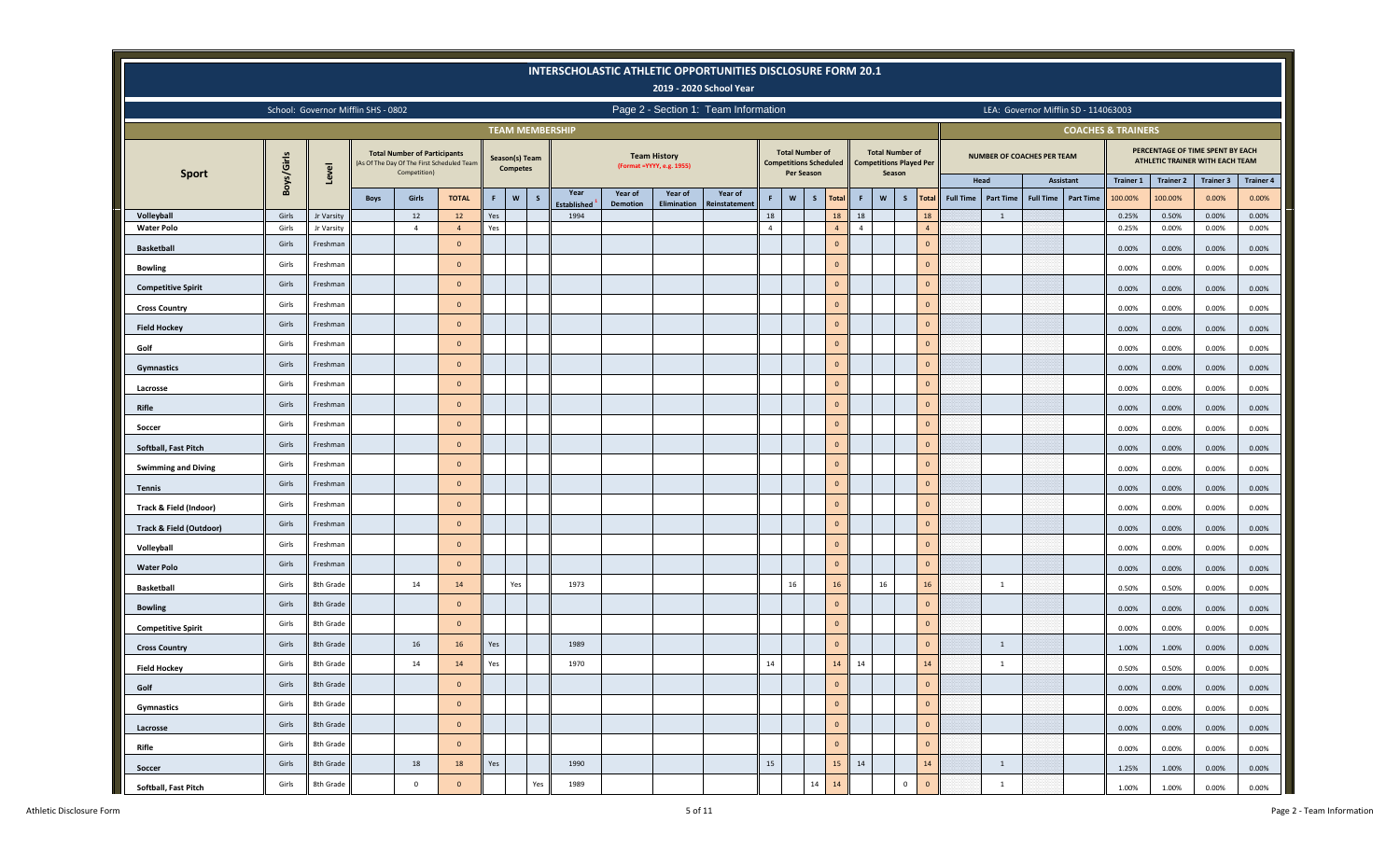|                                    |            |                          |                                     |                                                     |                                            |            |                                   |              |                            |          |                                                   | INTERSCHOLASTIC ATHLETIC OPPORTUNITIES DISCLOSURE FORM 20.1<br>2019 - 2020 School Year |                      |                   |                                                         |                      |              |                                                          |                      |                  |                  |                                   |                                      |                               |                                                                     |                  |                  |
|------------------------------------|------------|--------------------------|-------------------------------------|-----------------------------------------------------|--------------------------------------------|------------|-----------------------------------|--------------|----------------------------|----------|---------------------------------------------------|----------------------------------------------------------------------------------------|----------------------|-------------------|---------------------------------------------------------|----------------------|--------------|----------------------------------------------------------|----------------------|------------------|------------------|-----------------------------------|--------------------------------------|-------------------------------|---------------------------------------------------------------------|------------------|------------------|
|                                    |            |                          | School: Governor Mifflin SHS - 0802 |                                                     |                                            |            |                                   |              |                            |          |                                                   | Page 2 - Section 1: Team Information                                                   |                      |                   |                                                         |                      |              |                                                          |                      |                  |                  |                                   | LEA: Governor Mifflin SD - 114063003 |                               |                                                                     |                  |                  |
|                                    |            |                          |                                     |                                                     |                                            |            | <b>TEAM MEMBERSHIP</b>            |              |                            |          |                                                   |                                                                                        |                      |                   |                                                         |                      |              |                                                          |                      |                  |                  |                                   |                                      | <b>COACHES &amp; TRAINERS</b> |                                                                     |                  |                  |
| <b>Sport</b>                       | Boys/Girls | Level                    |                                     | <b>Total Number of Participants</b><br>Competition) | (As Of The Day Of The First Scheduled Team |            | Season(s) Team<br><b>Competes</b> |              |                            |          | <b>Team History</b><br>(Format = YYYY, e.g. 1955) |                                                                                        |                      | <b>Per Season</b> | <b>Total Number of</b><br><b>Competitions Scheduled</b> |                      | Season       | <b>Total Number of</b><br><b>Competitions Played Per</b> |                      |                  |                  | <b>NUMBER OF COACHES PER TEAM</b> |                                      |                               | PERCENTAGE OF TIME SPENT BY EACH<br>ATHLETIC TRAINER WITH EACH TEAM |                  |                  |
|                                    |            |                          |                                     |                                                     |                                            |            |                                   |              | Year                       | Year of  | Year of                                           | Year of                                                                                |                      |                   |                                                         |                      |              |                                                          |                      |                  | Head             |                                   | Assistant                            | <b>Trainer 1</b>              | <b>Trainer 2</b>                                                    | <b>Trainer 3</b> | <b>Trainer 4</b> |
|                                    | Girls      |                          | <b>Boys</b>                         | Girls                                               | <b>TOTAL</b>                               | F.         | $\mathsf{w}$                      | $\mathsf{s}$ | <b>Established</b><br>1994 | Demotion | Elimination                                       | Reinstatement                                                                          | F.                   | $\mathsf{w}$      | S<br><b>Total</b>                                       | F.                   | $\mathbf{w}$ | s                                                        | <b>Total</b>         | <b>Full Time</b> | <b>Part Time</b> | <b>Full Time</b>                  | <b>Part Time</b>                     | 100.00%                       | 100.00%                                                             | 0.00%            | 0.00%            |
| Volleyball<br><b>Water Polo</b>    | Girls      | Jr Varsity<br>Jr Varsity |                                     | 12<br>$\overline{4}$                                | 12<br>$\overline{4}$                       | Yes<br>Yes |                                   |              |                            |          |                                                   |                                                                                        | 18<br>$\overline{4}$ |                   | 18<br>$\overline{4}$                                    | 18<br>$\overline{4}$ |              |                                                          | 18<br>$\overline{4}$ |                  | 1                |                                   |                                      | 0.25%<br>0.25%                | 0.50%<br>0.00%                                                      | 0.00%<br>0.00%   | 0.00%<br>0.00%   |
| <b>Basketball</b>                  | Girls      | Freshman                 |                                     |                                                     | $\mathbf{0}$                               |            |                                   |              |                            |          |                                                   |                                                                                        |                      |                   | $\mathbf{0}$                                            |                      |              |                                                          | $\circ$              |                  |                  |                                   |                                      | 0.00%                         | 0.00%                                                               | 0.00%            | 0.00%            |
| <b>Bowling</b>                     | Girls      | Freshman                 |                                     |                                                     | $\overline{0}$                             |            |                                   |              |                            |          |                                                   |                                                                                        |                      |                   | $\mathbf{0}$                                            |                      |              |                                                          | $\mathbf{0}$         |                  |                  |                                   |                                      | 0.00%                         | 0.00%                                                               | 0.00%            | 0.00%            |
| <b>Competitive Spirit</b>          | Girls      | Freshman                 |                                     |                                                     | $\overline{0}$                             |            |                                   |              |                            |          |                                                   |                                                                                        |                      |                   | $\mathbf{0}$                                            |                      |              |                                                          | $\mathbf{0}$         |                  |                  |                                   |                                      | 0.00%                         | 0.00%                                                               | 0.00%            | 0.00%            |
| <b>Cross Country</b>               | Girls      | Freshman                 |                                     |                                                     | $\overline{0}$                             |            |                                   |              |                            |          |                                                   |                                                                                        |                      |                   | $\mathbf{0}$                                            |                      |              |                                                          | $\mathbf{0}$         |                  |                  |                                   |                                      | 0.00%                         | 0.00%                                                               | 0.00%            | 0.00%            |
| <b>Field Hockey</b>                | Girls      | Freshman                 |                                     |                                                     | $\Omega$                                   |            |                                   |              |                            |          |                                                   |                                                                                        |                      |                   | $\mathbf{0}$                                            |                      |              |                                                          | $\circ$              |                  |                  |                                   |                                      | 0.00%                         | 0.00%                                                               | 0.00%            | 0.00%            |
| Golf                               | Girls      | Freshmar                 |                                     |                                                     | $\mathbf{0}$                               |            |                                   |              |                            |          |                                                   |                                                                                        |                      |                   | $\mathbf{0}$                                            |                      |              |                                                          | $\overline{0}$       |                  |                  |                                   |                                      | 0.00%                         | 0.00%                                                               | 0.00%            | 0.00%            |
| Gymnastics                         | Girls      | Freshman                 |                                     |                                                     | $\overline{0}$                             |            |                                   |              |                            |          |                                                   |                                                                                        |                      |                   | $\overline{0}$                                          |                      |              |                                                          | $\overline{0}$       |                  |                  |                                   |                                      | 0.00%                         | 0.00%                                                               | 0.00%            | 0.00%            |
| Lacrosse                           | Girls      | Freshman                 |                                     |                                                     | $\overline{0}$                             |            |                                   |              |                            |          |                                                   |                                                                                        |                      |                   | $\overline{0}$                                          |                      |              |                                                          | $\overline{0}$       |                  |                  |                                   |                                      | 0.00%                         | 0.00%                                                               | 0.00%            | 0.00%            |
| Rifle                              | Girls      | Freshman                 |                                     |                                                     | $\overline{0}$                             |            |                                   |              |                            |          |                                                   |                                                                                        |                      |                   | $\mathbf{0}$                                            |                      |              |                                                          | $\mathbf{0}$         |                  |                  |                                   |                                      | 0.00%                         | 0.00%                                                               | 0.00%            | 0.00%            |
| Soccer                             | Girls      | Freshman                 |                                     |                                                     | $\overline{0}$                             |            |                                   |              |                            |          |                                                   |                                                                                        |                      |                   | $\mathbf{0}$                                            |                      |              |                                                          | $\circ$              |                  |                  |                                   |                                      | 0.00%                         | 0.00%                                                               | 0.00%            | 0.00%            |
| Softball, Fast Pitch               | Girls      | Freshmar                 |                                     |                                                     | $\overline{0}$                             |            |                                   |              |                            |          |                                                   |                                                                                        |                      |                   | $\overline{0}$                                          |                      |              |                                                          | $\mathbf{0}$         |                  |                  |                                   |                                      | 0.00%                         | 0.00%                                                               | 0.00%            | 0.00%            |
| <b>Swimming and Diving</b>         | Girls      | Freshman                 |                                     |                                                     | $\overline{0}$                             |            |                                   |              |                            |          |                                                   |                                                                                        |                      |                   | $\mathbf{0}$                                            |                      |              |                                                          | $\circ$              |                  |                  |                                   |                                      | 0.00%                         | 0.00%                                                               | 0.00%            | 0.00%            |
| <b>Tennis</b>                      | Girls      | Freshman                 |                                     |                                                     | $\overline{0}$                             |            |                                   |              |                            |          |                                                   |                                                                                        |                      |                   | $\overline{0}$                                          |                      |              |                                                          | $\overline{0}$       |                  |                  |                                   |                                      | 0.00%                         | 0.00%                                                               | 0.00%            | 0.00%            |
| Track & Field (Indoor)             | Girls      | Freshman                 |                                     |                                                     | $\overline{0}$                             |            |                                   |              |                            |          |                                                   |                                                                                        |                      |                   | $\mathbf{0}$                                            |                      |              |                                                          | $\circ$              |                  |                  |                                   |                                      | 0.00%                         | 0.00%                                                               | 0.00%            | 0.00%            |
| <b>Track &amp; Field (Outdoor)</b> | Girls      | Freshman                 |                                     |                                                     | $\Omega$                                   |            |                                   |              |                            |          |                                                   |                                                                                        |                      |                   | $\overline{0}$                                          |                      |              |                                                          | $\circ$              |                  |                  |                                   |                                      | 0.00%                         | 0.00%                                                               | 0.00%            | 0.00%            |
| Volleyball                         | Girls      | Freshmar                 |                                     |                                                     | $\circ$                                    |            |                                   |              |                            |          |                                                   |                                                                                        |                      |                   | $\overline{0}$                                          |                      |              |                                                          | $\overline{0}$       |                  |                  |                                   |                                      | 0.00%                         | 0.00%                                                               | 0.00%            | 0.00%            |
| <b>Water Polo</b>                  | Girls      | Freshman                 |                                     |                                                     | $\overline{0}$                             |            |                                   |              |                            |          |                                                   |                                                                                        |                      |                   | $\mathbf{0}$                                            |                      |              |                                                          | $\circ$              |                  |                  |                                   |                                      | 0.00%                         | 0.00%                                                               | 0.00%            | 0.00%            |
| <b>Basketball</b>                  | Girls      | 8th Grade                |                                     | 14                                                  | 14                                         |            | Yes                               |              | 1973                       |          |                                                   |                                                                                        |                      | 16                | 16                                                      |                      | 16           |                                                          | 16                   |                  | <sup>1</sup>     |                                   |                                      | 0.50%                         | 0.50%                                                               | 0.00%            | 0.00%            |
| <b>Bowling</b>                     | Girls      | 8th Grade                |                                     |                                                     | $\overline{0}$                             |            |                                   |              |                            |          |                                                   |                                                                                        |                      |                   | $\mathbf{0}$                                            |                      |              |                                                          | $\circ$              |                  |                  |                                   |                                      | 0.00%                         | 0.00%                                                               | 0.00%            | 0.00%            |
| <b>Competitive Spirit</b>          | Girls      | 8th Grade                |                                     |                                                     | $\circ$                                    |            |                                   |              |                            |          |                                                   |                                                                                        |                      |                   | $\mathbf{0}$                                            |                      |              |                                                          | $\circ$              |                  |                  |                                   |                                      | 0.00%                         | 0.00%                                                               | 0.00%            | 0.00%            |
| <b>Cross Country</b>               | Girls      | 8th Grade                |                                     | 16                                                  | 16                                         | Yes        |                                   |              | 1989                       |          |                                                   |                                                                                        |                      |                   | $\mathbf{0}$                                            |                      |              |                                                          | $\overline{0}$       |                  | 1                |                                   |                                      | 1.00%                         | 1.00%                                                               | 0.00%            | 0.00%            |
| <b>Field Hockey</b>                | Girls      | 8th Grade                |                                     | 14                                                  | 14                                         | Yes        |                                   |              | 1970                       |          |                                                   |                                                                                        | 14                   |                   | 14                                                      | 14                   |              |                                                          | $14$                 |                  | 1                |                                   |                                      | 0.50%                         | 0.50%                                                               | 0.00%            | 0.00%            |
| Golf                               | Girls      | 8th Grade                |                                     |                                                     | $\mathbf{0}$                               |            |                                   |              |                            |          |                                                   |                                                                                        |                      |                   | $\overline{0}$                                          |                      |              |                                                          | $\circ$              |                  |                  |                                   |                                      | 0.00%                         | 0.00%                                                               | 0.00%            | 0.00%            |
| Gymnastics                         | Girls      | 8th Grade                |                                     |                                                     | $\mathbf{0}$                               |            |                                   |              |                            |          |                                                   |                                                                                        |                      |                   | $\mathbf{0}$                                            |                      |              |                                                          | $\mathbf 0$          |                  |                  |                                   |                                      | 0.00%                         | 0.00%                                                               | 0.00%            | 0.00%            |
| Lacrosse                           | Girls      | 8th Grade                |                                     |                                                     | $\circ$                                    |            |                                   |              |                            |          |                                                   |                                                                                        |                      |                   | $\overline{0}$                                          |                      |              |                                                          | $\mathbf{0}$         |                  |                  |                                   |                                      | 0.00%                         | 0.00%                                                               | 0.00%            | 0.00%            |
| Rifle                              | Girls      | 8th Grade                |                                     |                                                     | $\circ$                                    |            |                                   |              |                            |          |                                                   |                                                                                        |                      |                   | $\overline{0}$                                          |                      |              |                                                          | $\mathbf 0$          |                  |                  |                                   |                                      | 0.00%                         | 0.00%                                                               | 0.00%            | 0.00%            |
| Soccer                             | Girls      | 8th Grade                |                                     | 18                                                  | 18                                         | Yes        |                                   |              | 1990                       |          |                                                   |                                                                                        | 15                   |                   | 15                                                      | 14                   |              |                                                          | 14                   |                  | $\mathbf{1}$     |                                   |                                      | 1.25%                         | 1.00%                                                               | 0.00%            | 0.00%            |
| Softball, Fast Pitch               | Girls      | 8th Grade                |                                     | $\mathsf{O}\xspace$                                 | $\circ$                                    |            |                                   | Yes          | 1989                       |          |                                                   |                                                                                        |                      |                   | 14<br>14                                                |                      |              | $\overline{0}$                                           | $\mathbf 0$          |                  | $\mathbf{1}$     |                                   |                                      | 1.00%                         | 1.00%                                                               | 0.00%            | 0.00%            |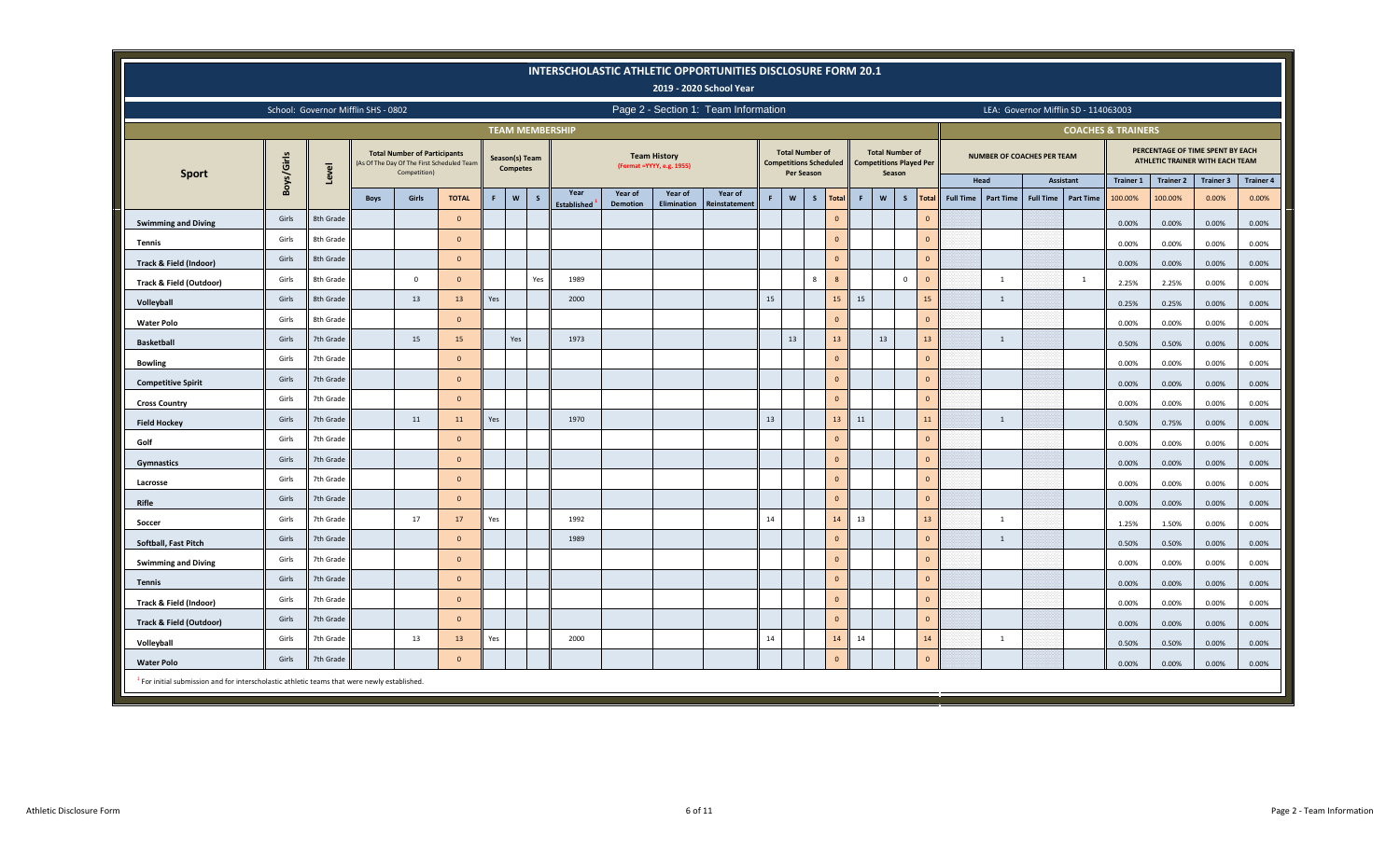|                                                                                                         |                                                                                                                                                                                                                                                                                                                                                                                                                                                               |           |                                     |                                                     |                                            |     |                                   |              |                        |                 |                                                   | INTERSCHOLASTIC ATHLETIC OPPORTUNITIES DISCLOSURE FORM 20.1<br>2019 - 2020 School Year |    |                                      |                               |                |       |                                                                    |              |                         |                  |                                   |                  |                                      |                               |                  |                                                                     |                  |
|---------------------------------------------------------------------------------------------------------|---------------------------------------------------------------------------------------------------------------------------------------------------------------------------------------------------------------------------------------------------------------------------------------------------------------------------------------------------------------------------------------------------------------------------------------------------------------|-----------|-------------------------------------|-----------------------------------------------------|--------------------------------------------|-----|-----------------------------------|--------------|------------------------|-----------------|---------------------------------------------------|----------------------------------------------------------------------------------------|----|--------------------------------------|-------------------------------|----------------|-------|--------------------------------------------------------------------|--------------|-------------------------|------------------|-----------------------------------|------------------|--------------------------------------|-------------------------------|------------------|---------------------------------------------------------------------|------------------|
|                                                                                                         |                                                                                                                                                                                                                                                                                                                                                                                                                                                               |           | School: Governor Mifflin SHS - 0802 |                                                     |                                            |     |                                   |              |                        |                 |                                                   | Page 2 - Section 1: Team Information                                                   |    |                                      |                               |                |       |                                                                    |              |                         |                  |                                   |                  | LEA: Governor Mifflin SD - 114063003 |                               |                  |                                                                     |                  |
|                                                                                                         |                                                                                                                                                                                                                                                                                                                                                                                                                                                               |           |                                     |                                                     |                                            |     |                                   |              | <b>TEAM MEMBERSHIP</b> |                 |                                                   |                                                                                        |    |                                      |                               |                |       |                                                                    |              |                         |                  |                                   |                  |                                      | <b>COACHES &amp; TRAINERS</b> |                  |                                                                     |                  |
| <b>Sport</b>                                                                                            | Boys/Girls                                                                                                                                                                                                                                                                                                                                                                                                                                                    | Level     |                                     | <b>Total Number of Participants</b><br>Competition) | (As Of The Day Of The First Scheduled Team |     | Season(s) Team<br><b>Competes</b> |              |                        |                 | <b>Team History</b><br>(Format = YYYY, e.g. 1955) |                                                                                        |    | <b>Total Number of</b><br>Per Season | <b>Competitions Scheduled</b> |                |       | <b>Total Number of</b><br><b>Competitions Played Per</b><br>Season |              |                         |                  | <b>NUMBER OF COACHES PER TEAM</b> |                  |                                      |                               |                  | PERCENTAGE OF TIME SPENT BY EACH<br>ATHLETIC TRAINER WITH EACH TEAM |                  |
|                                                                                                         |                                                                                                                                                                                                                                                                                                                                                                                                                                                               |           |                                     |                                                     |                                            |     |                                   |              | Year                   | Year of         | Year of                                           | Year of                                                                                |    |                                      |                               |                |       |                                                                    |              |                         |                  | Head                              |                  | Assistant                            | <b>Trainer 1</b>              | <b>Trainer 2</b> | <b>Trainer 3</b>                                                    | <b>Trainer 4</b> |
|                                                                                                         |                                                                                                                                                                                                                                                                                                                                                                                                                                                               |           | <b>Boys</b>                         | Girls                                               | <b>TOTAL</b>                               | F   | $\mathbf{w}$                      | $\mathsf{s}$ | <b>Established</b>     | <b>Demotion</b> | Elimination                                       | Reinstatemen                                                                           |    | $\mathbf{W}$                         | $\mathsf{s}$                  | <b>Total</b>   | F     | $\mathbf{w}$                                                       | S            | <b>Total</b>            | <b>Full Time</b> | <b>Part Time</b>                  | <b>Full Time</b> | <b>Part Time</b>                     | 100.00%                       | 100.00%          | 0.00%                                                               | 0.00%            |
| <b>Swimming and Diving</b>                                                                              | Girls                                                                                                                                                                                                                                                                                                                                                                                                                                                         | 8th Grade |                                     |                                                     | $\Omega$                                   |     |                                   |              |                        |                 |                                                   |                                                                                        |    |                                      |                               | $\mathbf{0}$   |       |                                                                    |              | $\overline{0}$          |                  |                                   |                  |                                      | 0.00%                         | 0.00%            | 0.00%                                                               | 0.00%            |
| Tennis                                                                                                  | Girls                                                                                                                                                                                                                                                                                                                                                                                                                                                         | 8th Grade |                                     |                                                     | $\Omega$                                   |     |                                   |              |                        |                 |                                                   |                                                                                        |    |                                      |                               | $\Omega$       |       |                                                                    |              | $\mathbf{0}$            |                  |                                   |                  |                                      | 0.00%                         | 0.00%            | 0.00%                                                               | 0.00%            |
| Track & Field (Indoor)                                                                                  | Girls                                                                                                                                                                                                                                                                                                                                                                                                                                                         | 8th Grade |                                     |                                                     | $\mathbf{0}$                               |     |                                   |              |                        |                 |                                                   |                                                                                        |    |                                      |                               | $\mathbf{0}$   |       |                                                                    |              | $\mathbf 0$             |                  |                                   |                  |                                      | 0.00%                         | 0.00%            | 0.00%                                                               | 0.00%            |
| Track & Field (Outdoor)                                                                                 | Girls                                                                                                                                                                                                                                                                                                                                                                                                                                                         | 8th Grade |                                     | $\circ$                                             | $\Omega$                                   |     |                                   | Yes          | 1989                   |                 |                                                   |                                                                                        |    |                                      | 8                             | $\mathbf{8}$   |       |                                                                    | $\mathbf{0}$ | $\overline{\mathbf{0}}$ |                  | $\overline{1}$                    |                  | <sup>1</sup>                         | 2.25%                         | 2.25%            | 0.00%                                                               | 0.00%            |
| Volleyball                                                                                              | 15<br>15<br>Girls<br>13<br>15<br>15<br>8th Grade<br>13<br>Yes<br>2000<br>$\overline{1}$<br>0.25%<br>0.00%<br>0.25%<br>Girls<br>8th Grade<br>$\Omega$<br>$\overline{0}$<br>$\Omega$<br>0.00%<br>0.00%<br>0.00%<br>$13\,$<br>Girls<br>15<br>Yes<br>1973<br>13<br>13<br>13<br>7th Grade<br>15<br>$\mathbf{1}$<br><b>Basketball</b><br>0.50%<br>0.50%<br>0.00%<br>$\mathbf{0}$<br>Girls<br>$\overline{0}$<br>7th Grade<br>$\mathbf{0}$<br>0.00%<br>0.00%<br>0.00% |           |                                     |                                                     |                                            |     |                                   |              |                        |                 |                                                   |                                                                                        |    |                                      |                               | 0.00%          |       |                                                                    |              |                         |                  |                                   |                  |                                      |                               |                  |                                                                     |                  |
| <b>Water Polo</b>                                                                                       |                                                                                                                                                                                                                                                                                                                                                                                                                                                               |           |                                     |                                                     |                                            |     |                                   |              |                        |                 |                                                   |                                                                                        |    |                                      |                               | 0.00%          |       |                                                                    |              |                         |                  |                                   |                  |                                      |                               |                  |                                                                     |                  |
|                                                                                                         | $\overline{\mathbf{0}}$<br>Girls<br>7th Grade<br>$\mathbf{0}$<br>$\Omega$<br>0.00%<br>0.00%                                                                                                                                                                                                                                                                                                                                                                   |           |                                     |                                                     |                                            |     |                                   |              |                        |                 |                                                   |                                                                                        |    |                                      |                               |                | 0.00% |                                                                    |              |                         |                  |                                   |                  |                                      |                               |                  |                                                                     |                  |
| <b>Bowling</b>                                                                                          |                                                                                                                                                                                                                                                                                                                                                                                                                                                               |           |                                     |                                                     |                                            |     |                                   |              |                        |                 |                                                   |                                                                                        |    |                                      |                               |                |       |                                                                    |              |                         |                  |                                   |                  |                                      |                               |                  |                                                                     | 0.00%            |
| <b>Competitive Spirit</b>                                                                               |                                                                                                                                                                                                                                                                                                                                                                                                                                                               |           |                                     |                                                     |                                            |     |                                   |              |                        |                 |                                                   |                                                                                        |    |                                      |                               |                |       |                                                                    |              |                         |                  |                                   |                  |                                      |                               |                  | 0.00%                                                               | 0.00%            |
| <b>Cross Country</b>                                                                                    | Girls                                                                                                                                                                                                                                                                                                                                                                                                                                                         | 7th Grade |                                     |                                                     | $\Omega$                                   |     |                                   |              |                        |                 |                                                   |                                                                                        |    |                                      |                               | $\Omega$       |       |                                                                    |              | $\overline{0}$          |                  |                                   |                  |                                      | 0.00%                         | 0.00%            | 0.00%                                                               | 0.00%            |
| <b>Field Hockey</b>                                                                                     | Girls                                                                                                                                                                                                                                                                                                                                                                                                                                                         | 7th Grade |                                     | 11                                                  | 11                                         | Yes |                                   |              | 1970                   |                 |                                                   |                                                                                        | 13 |                                      |                               | 13             | 11    |                                                                    |              | 11                      |                  | $\overline{1}$                    |                  |                                      | 0.50%                         | 0.75%            | 0.00%                                                               | 0.00%            |
| Golf                                                                                                    | Girls                                                                                                                                                                                                                                                                                                                                                                                                                                                         | 7th Grade |                                     |                                                     | $\mathbf{0}$                               |     |                                   |              |                        |                 |                                                   |                                                                                        |    |                                      |                               | $\overline{0}$ |       |                                                                    |              | $\mathbf 0$             |                  |                                   |                  |                                      | 0.00%                         | 0.00%            | 0.00%                                                               | 0.00%            |
| Gymnastics                                                                                              | Girls                                                                                                                                                                                                                                                                                                                                                                                                                                                         | 7th Grade |                                     |                                                     | $\Omega$                                   |     |                                   |              |                        |                 |                                                   |                                                                                        |    |                                      |                               | $\mathbf{0}$   |       |                                                                    |              | $\overline{\mathbf{0}}$ |                  |                                   |                  |                                      | 0.00%                         | 0.00%            | 0.00%                                                               | 0.00%            |
| Lacrosse                                                                                                | Girls                                                                                                                                                                                                                                                                                                                                                                                                                                                         | 7th Grade |                                     |                                                     | $\mathbf{0}$                               |     |                                   |              |                        |                 |                                                   |                                                                                        |    |                                      |                               | $\mathbf{0}$   |       |                                                                    |              | $\mathbf{0}$            |                  |                                   |                  |                                      | 0.00%                         | 0.00%            | 0.00%                                                               | 0.00%            |
| Rifle                                                                                                   | Girls                                                                                                                                                                                                                                                                                                                                                                                                                                                         | 7th Grade |                                     |                                                     | $\Omega$                                   |     |                                   |              |                        |                 |                                                   |                                                                                        |    |                                      |                               | $\Omega$       |       |                                                                    |              | $\overline{0}$          |                  |                                   |                  |                                      | 0.00%                         | 0.00%            | 0.00%                                                               | 0.00%            |
| Soccer                                                                                                  | Girls                                                                                                                                                                                                                                                                                                                                                                                                                                                         | 7th Grade |                                     | 17                                                  | 17                                         | Yes |                                   |              | 1992                   |                 |                                                   |                                                                                        | 14 |                                      |                               | 14             | 13    |                                                                    |              | 13                      |                  | 1                                 |                  |                                      | 1.25%                         | 1.50%            | 0.00%                                                               | 0.00%            |
| Softball, Fast Pitch                                                                                    | Girls                                                                                                                                                                                                                                                                                                                                                                                                                                                         | 7th Grade |                                     |                                                     | $\Omega$                                   |     |                                   |              | 1989                   |                 |                                                   |                                                                                        |    |                                      |                               | $\mathbf{0}$   |       |                                                                    |              | $\overline{0}$          |                  | $\mathbf{1}$                      |                  |                                      | 0.50%                         | 0.50%            | 0.00%                                                               | 0.00%            |
| <b>Swimming and Diving</b>                                                                              | Girls                                                                                                                                                                                                                                                                                                                                                                                                                                                         | 7th Grade |                                     |                                                     | $\Omega$                                   |     |                                   |              |                        |                 |                                                   |                                                                                        |    |                                      |                               | $\Omega$       |       |                                                                    |              | $\Omega$                |                  |                                   |                  |                                      | 0.00%                         | 0.00%            | 0.00%                                                               | 0.00%            |
| <b>Tennis</b>                                                                                           | Girls                                                                                                                                                                                                                                                                                                                                                                                                                                                         | 7th Grade |                                     |                                                     | $\mathbf{0}$                               |     |                                   |              |                        |                 |                                                   |                                                                                        |    |                                      |                               | $\mathbf{0}$   |       |                                                                    |              | $\mathbf 0$             |                  |                                   |                  |                                      | 0.00%                         | 0.00%            | 0.00%                                                               | 0.00%            |
| Track & Field (Indoor)                                                                                  | Girls                                                                                                                                                                                                                                                                                                                                                                                                                                                         | 7th Grade |                                     |                                                     | $\mathbf{0}$                               |     |                                   |              |                        |                 |                                                   |                                                                                        |    |                                      |                               | $\Omega$       |       |                                                                    |              | $\overline{\mathbf{0}}$ |                  |                                   |                  |                                      | 0.00%                         | 0.00%            | 0.00%                                                               | 0.00%            |
| <b>Track &amp; Field (Outdoor)</b>                                                                      | Girls                                                                                                                                                                                                                                                                                                                                                                                                                                                         | 7th Grade |                                     |                                                     | $\mathbf{0}$                               |     |                                   |              |                        |                 |                                                   |                                                                                        |    |                                      |                               | $\mathbf{0}$   |       |                                                                    |              | $\overline{0}$          |                  |                                   |                  |                                      | 0.00%                         | 0.00%            | 0.00%                                                               | 0.00%            |
| Volleyball                                                                                              | Girls                                                                                                                                                                                                                                                                                                                                                                                                                                                         | 7th Grade |                                     | 13                                                  | 13                                         | Yes |                                   |              | 2000                   |                 |                                                   |                                                                                        | 14 |                                      |                               | 14             | 14    |                                                                    |              | 14                      |                  | 1                                 |                  |                                      | 0.50%                         | 0.50%            | 0.00%                                                               | 0.00%            |
| <b>Water Polo</b>                                                                                       | Girls                                                                                                                                                                                                                                                                                                                                                                                                                                                         | 7th Grade |                                     |                                                     | $\mathbf{0}$                               |     |                                   |              |                        |                 |                                                   |                                                                                        |    |                                      |                               | $\Omega$       |       |                                                                    |              | $\mathbf{0}$            |                  |                                   |                  |                                      | 0.00%                         | 0.00%            | 0.00%                                                               | 0.00%            |
| <sup>1</sup> For initial submission and for interscholastic athletic teams that were newly established. |                                                                                                                                                                                                                                                                                                                                                                                                                                                               |           |                                     |                                                     |                                            |     |                                   |              |                        |                 |                                                   |                                                                                        |    |                                      |                               |                |       |                                                                    |              |                         |                  |                                   |                  |                                      |                               |                  |                                                                     |                  |
|                                                                                                         |                                                                                                                                                                                                                                                                                                                                                                                                                                                               |           |                                     |                                                     |                                            |     |                                   |              |                        |                 |                                                   |                                                                                        |    |                                      |                               |                |       |                                                                    |              |                         |                  |                                   |                  |                                      |                               |                  |                                                                     |                  |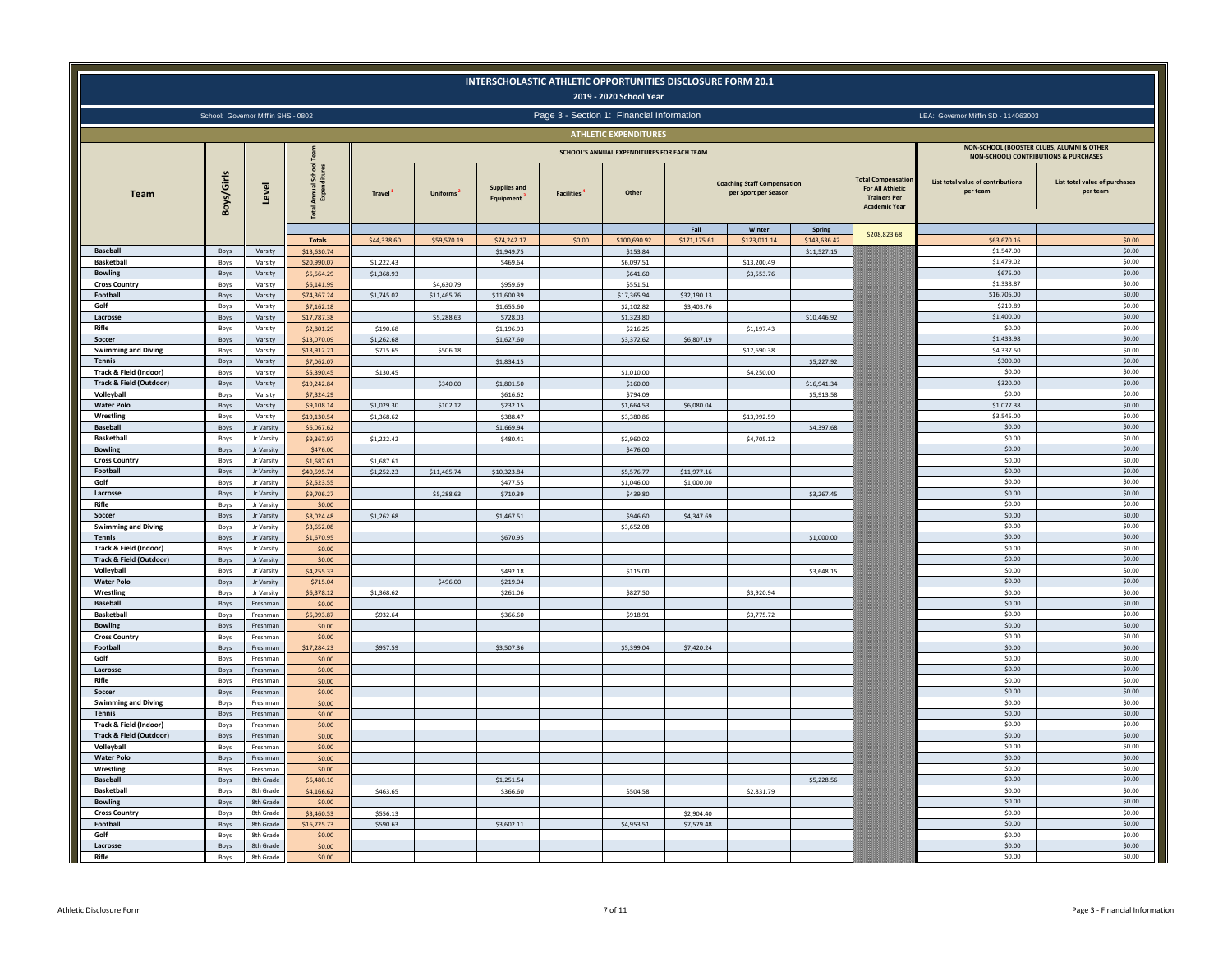|                                                              |              |                                     |                           |                        |                       |                                  |                   | 2019 - 2020 School Year                    | INTERSCHOLASTIC ATHLETIC OPPORTUNITIES DISCLOSURE FORM 20.1 |                                                            |                           |                                                                                            |                                                                                                   |                                           |
|--------------------------------------------------------------|--------------|-------------------------------------|---------------------------|------------------------|-----------------------|----------------------------------|-------------------|--------------------------------------------|-------------------------------------------------------------|------------------------------------------------------------|---------------------------|--------------------------------------------------------------------------------------------|---------------------------------------------------------------------------------------------------|-------------------------------------------|
|                                                              |              | School: Governor Mifflin SHS - 0802 |                           |                        |                       |                                  |                   | Page 3 - Section 1: Financial Information  |                                                             |                                                            |                           |                                                                                            | LEA: Governor Mifflin SD - 114063003                                                              |                                           |
|                                                              |              |                                     |                           |                        |                       |                                  |                   | <b>ATHLETIC EXPENDITURES</b>               |                                                             |                                                            |                           |                                                                                            |                                                                                                   |                                           |
|                                                              |              |                                     |                           |                        |                       |                                  |                   | SCHOOL'S ANNUAL EXPENDITURES FOR EACH TEAM |                                                             |                                                            |                           |                                                                                            | NON-SCHOOL (BOOSTER CLUBS, ALUMNI & OTHER                                                         |                                           |
| <b>Team</b>                                                  | Boys/Girls   | Level                               | ŝ                         | Travel                 | Uniforms <sup>2</sup> | <b>Supplies and</b><br>Equipment | <b>Facilities</b> | Other                                      |                                                             | <b>Coaching Staff Compensation</b><br>per Sport per Season |                           | otal Compensatio<br><b>For All Athletic</b><br><b>Trainers Per</b><br><b>Academic Year</b> | <b>NON-SCHOOL) CONTRIBUTIONS &amp; PURCHASES</b><br>List total value of contributions<br>per team | List total value of purchases<br>per team |
|                                                              |              |                                     | <b>Totals</b>             | \$44,338.60            | \$59,570.19           | \$74,242.17                      | \$0.00            | \$100,690.92                               | Fall<br>\$171,175.61                                        | Winter<br>\$123,011.14                                     | Spring<br>\$143,636.42    | \$208,823.68                                                                               | \$63,670.16                                                                                       | \$0.00                                    |
| <b>Baseball</b>                                              | Boys         | Varsity                             | \$13,630.74               |                        |                       | \$1,949.75                       |                   | \$153.84                                   |                                                             |                                                            | \$11,527.15               |                                                                                            | \$1,547.00                                                                                        | \$0.00                                    |
| <b>Basketball</b>                                            | Boys         | Varsity                             | \$20,990.07               | \$1,222.43             |                       | \$469.64                         |                   | \$6,097.51                                 |                                                             | \$13,200.49                                                |                           |                                                                                            | \$1,479.02                                                                                        | \$0.00                                    |
| <b>Bowling</b><br><b>Cross Country</b>                       | Boys<br>Boys | Varsity<br>Varsity                  | \$5,564.29<br>\$6,141.99  | \$1,368.93             | \$4,630.79            | \$959.69                         |                   | \$641.60<br>\$551.51                       |                                                             | \$3,553.76                                                 |                           |                                                                                            | \$675.00<br>\$1,338.87                                                                            | \$0.00<br>\$0.00                          |
| Football                                                     | Boys         | Varsity                             | \$74,367.24               | \$1,745.02             | \$11,465.76           | \$11,600.39                      |                   | \$17,365.94                                | \$32,190.13                                                 |                                                            |                           |                                                                                            | \$16,705.00                                                                                       | \$0.00                                    |
| Golf                                                         | Boys         | Varsity                             | \$7,162.18                |                        |                       | \$1,655.60                       |                   | \$2,102.82                                 | \$3,403.76                                                  |                                                            |                           |                                                                                            | \$219.89                                                                                          | \$0.00                                    |
| Lacrosse                                                     | Boys         | Varsity                             | \$17,787.38               |                        | \$5,288.63            | \$728.03                         |                   | \$1,323.80                                 |                                                             |                                                            | \$10,446.92               |                                                                                            | \$1,400.00                                                                                        | \$0.00                                    |
| Rifle<br>Soccer                                              | Boys<br>Boys | Varsity<br>Varsity                  | \$2,801.29<br>\$13,070.09 | \$190.68<br>\$1,262.68 |                       | \$1,196.93<br>\$1,627.60         |                   | \$216.25<br>\$3,372.62                     | \$6,807.19                                                  | \$1,197.43                                                 |                           |                                                                                            | \$0.00<br>\$1,433.98                                                                              | \$0.00<br>\$0.00                          |
| <b>Swimming and Diving</b>                                   | Boys         | Varsity                             | \$13,912.21               | \$715.65               | \$506.18              |                                  |                   |                                            |                                                             | \$12,690.38                                                |                           |                                                                                            | \$4,337.50                                                                                        | \$0.00                                    |
| <b>Tennis</b>                                                | Boys         | Varsity                             | \$7,062.07                |                        |                       | \$1,834.15                       |                   |                                            |                                                             |                                                            | \$5,227.92                |                                                                                            | \$300.00                                                                                          | \$0.00                                    |
| Track & Field (Indoor)                                       | Boys         | Varsity                             | \$5,390.45                | \$130.45               |                       |                                  |                   | \$1,010.00                                 |                                                             | \$4,250.00                                                 |                           |                                                                                            | \$0.00                                                                                            | \$0.00                                    |
| <b>Track &amp; Field (Outdoor)</b><br>Volleyball             | Boys<br>Boys | Varsity<br>Varsity                  | \$19,242.84<br>\$7,324.29 |                        | \$340.00              | \$1,801.50<br>\$616.62           |                   | \$160.00<br>\$794.09                       |                                                             |                                                            | \$16,941.34<br>\$5,913.58 |                                                                                            | \$320.00<br>\$0.00                                                                                | \$0.00<br>\$0.00                          |
| <b>Water Polo</b>                                            | Boys         | Varsity                             | \$9,108.14                | \$1,029.30             | \$102.12              | \$232.15                         |                   | \$1,664.53                                 | \$6,080.04                                                  |                                                            |                           |                                                                                            | \$1,077.38                                                                                        | \$0.00                                    |
| Wrestling                                                    | Boys         | Varsity                             | \$19,130.54               | \$1,368.62             |                       | \$388.47                         |                   | \$3,380.86                                 |                                                             | \$13,992.59                                                |                           |                                                                                            | \$3,545.00                                                                                        | \$0.00                                    |
| <b>Baseball</b>                                              | Boys         | Jr Varsity                          | \$6,067.62                |                        |                       | \$1,669.94                       |                   |                                            |                                                             |                                                            | \$4,397.68                |                                                                                            | \$0.00                                                                                            | \$0.00                                    |
| <b>Basketball</b><br><b>Bowling</b>                          | Boys<br>Boys | <b>Jr Varsity</b><br>Jr Varsity     | \$9,367.97<br>\$476.00    | \$1,222.42             |                       | \$480.41                         |                   | \$2,960.02<br>\$476.00                     |                                                             | \$4,705.12                                                 |                           |                                                                                            | \$0.00<br>\$0.00                                                                                  | \$0.00<br>\$0.00                          |
| <b>Cross Country</b>                                         | Boys         | Jr Varsity                          | \$1,687.61                | \$1,687.61             |                       |                                  |                   |                                            |                                                             |                                                            |                           |                                                                                            | \$0.00                                                                                            | \$0.00                                    |
| Football                                                     | Boys         | Jr Varsity                          | \$40,595.74               | \$1,252.23             | \$11,465.74           | \$10,323.84                      |                   | \$5,576.77                                 | \$11,977.16                                                 |                                                            |                           |                                                                                            | \$0.00                                                                                            | \$0.00                                    |
| Golf                                                         | Boys         | Ir Varsity                          | \$2,523.55                |                        |                       | \$477.55                         |                   | \$1,046.00                                 | \$1,000.00                                                  |                                                            |                           |                                                                                            | \$0.00                                                                                            | \$0.00                                    |
| Lacrosse<br>Rifle                                            | Boys<br>Boys | Jr Varsity<br>Jr Varsity            | \$9,706.27<br>\$0.00      |                        | \$5,288.63            | \$710.39                         |                   | \$439.80                                   |                                                             |                                                            | \$3,267.45                |                                                                                            | \$0.00<br>\$0.00                                                                                  | \$0.00<br>\$0.00                          |
| Soccer                                                       | Boys         | Jr Varsity                          | \$8,024.48                | \$1,262.68             |                       | \$1,467.51                       |                   | \$946.60                                   | \$4,347.69                                                  |                                                            |                           |                                                                                            | \$0.00                                                                                            | \$0.00                                    |
| <b>Swimming and Diving</b>                                   | Boys         | <b>Jr Varsity</b>                   | \$3,652.08                |                        |                       |                                  |                   | \$3,652.08                                 |                                                             |                                                            |                           |                                                                                            | \$0.00                                                                                            | \$0.00                                    |
| <b>Tennis</b>                                                | Boys         | Jr Varsity                          | \$1,670.95                |                        |                       | \$670.95                         |                   |                                            |                                                             |                                                            | \$1,000.00                |                                                                                            | \$0.00                                                                                            | \$0.00                                    |
| Track & Field (Indoor)<br><b>Track &amp; Field (Outdoor)</b> | Boys<br>Boys | Jr Varsity<br>Jr Varsity            | \$0.00<br>\$0.00          |                        |                       |                                  |                   |                                            |                                                             |                                                            |                           |                                                                                            | \$0.00<br>\$0.00                                                                                  | \$0.00<br>\$0.00                          |
| Volleyball                                                   | Boys         | Jr Varsity                          | \$4,255.33                |                        |                       | \$492.18                         |                   | \$115.00                                   |                                                             |                                                            | \$3,648.15                |                                                                                            | \$0.00                                                                                            | \$0.00                                    |
| <b>Water Polo</b>                                            | Boys         | Jr Varsity                          | \$715.04                  |                        | \$496.00              | \$219.04                         |                   |                                            |                                                             |                                                            |                           |                                                                                            | \$0.00                                                                                            | \$0.00                                    |
| Wrestling<br><b>Baseball</b>                                 | Boys<br>Boys | Jr Varsity<br>Freshman              | \$6,378.12<br>\$0.00      | \$1,368.62             |                       | \$261.06                         |                   | \$827.50                                   |                                                             | \$3,920.94                                                 |                           |                                                                                            | \$0.00<br>\$0.00                                                                                  | \$0.00<br>\$0.00                          |
| <b>Basketball</b>                                            | Boys         | Freshman                            | \$5,993.87                | \$932.64               |                       | \$366.60                         |                   | \$918.91                                   |                                                             | \$3,775.72                                                 |                           |                                                                                            | \$0.00                                                                                            | \$0.00                                    |
| <b>Bowling</b>                                               | Boys         | Freshman                            | \$0.00                    |                        |                       |                                  |                   |                                            |                                                             |                                                            |                           |                                                                                            | \$0.00                                                                                            | \$0.00                                    |
| <b>Cross Country</b>                                         | Boys         | Freshmar                            | \$0.00                    |                        |                       |                                  |                   |                                            |                                                             |                                                            |                           |                                                                                            | \$0.00                                                                                            | \$0.00                                    |
| Football<br>Golf                                             | Boys<br>Boys | Ereshman<br>Freshman                | \$17,284.23<br>\$0.00     | \$957.59               |                       | \$3,507.36                       |                   | \$5,399.04                                 | \$7,420.24                                                  |                                                            |                           |                                                                                            | \$0.00<br>\$0.00                                                                                  | \$0.00<br>\$0.00                          |
| Lacrosse                                                     | Boys         | Freshman                            | \$0.00                    |                        |                       |                                  |                   |                                            |                                                             |                                                            |                           |                                                                                            | \$0.00                                                                                            | \$0.00                                    |
| Rifle                                                        | Boys         | Freshman                            | \$0.00                    |                        |                       |                                  |                   |                                            |                                                             |                                                            |                           |                                                                                            | \$0.00                                                                                            | \$0.00                                    |
| Soccer                                                       | Boys         | Freshman                            | \$0.00                    |                        |                       |                                  |                   |                                            |                                                             |                                                            |                           |                                                                                            | \$0.00                                                                                            | \$0.00                                    |
| Swimming and Diving<br><b>Tennis</b>                         | Boys<br>Boys | Freshman<br>Freshman                | \$0.00<br>\$0.00          |                        |                       |                                  |                   |                                            |                                                             |                                                            |                           |                                                                                            | \$0.00<br>\$0.00                                                                                  | \$0.00<br>\$0.00                          |
| Track & Field (Indoor)                                       | Boys         | Freshman                            | \$0.00                    |                        |                       |                                  |                   |                                            |                                                             |                                                            |                           |                                                                                            | \$0.00                                                                                            | \$0.00                                    |
| <b>Track &amp; Field (Outdoor)</b>                           | Boys         | Freshman                            | \$0.00                    |                        |                       |                                  |                   |                                            |                                                             |                                                            |                           |                                                                                            | \$0.00                                                                                            | \$0.00                                    |
| Volleyball                                                   | Boys         | Freshman                            | \$0.00                    |                        |                       |                                  |                   |                                            |                                                             |                                                            |                           |                                                                                            | \$0.00                                                                                            | \$0.00                                    |
| <b>Water Polo</b><br>Wrestling                               | Boys<br>Boys | Freshman<br>Freshman                | \$0.00<br>\$0.00          |                        |                       |                                  |                   |                                            |                                                             |                                                            |                           |                                                                                            | \$0.00<br>\$0.00                                                                                  | \$0.00<br>\$0.00                          |
| <b>Baseball</b>                                              | Boys         | 8th Grade                           | \$6,480.10                |                        |                       | \$1,251.54                       |                   |                                            |                                                             |                                                            | \$5,228.56                |                                                                                            | \$0.00                                                                                            | \$0.00                                    |
| <b>Basketball</b>                                            | Boys         | 8th Grade                           | \$4,166.62                | \$463.65               |                       | \$366.60                         |                   | \$504.58                                   |                                                             | \$2,831.79                                                 |                           |                                                                                            | \$0.00                                                                                            | \$0.00                                    |
| <b>Bowling</b>                                               | Boys         | 8th Grade                           | \$0.00                    |                        |                       |                                  |                   |                                            |                                                             |                                                            |                           |                                                                                            | \$0.00                                                                                            | \$0.00                                    |
| <b>Cross Country</b><br>Football                             | Boys<br>Boys | <b>8th Grade</b><br>8th Grade       | \$3,460.53<br>\$16,725.73 | \$556.13<br>\$590.63   |                       | \$3,602.11                       |                   | \$4,953.51                                 | \$2,904.40<br>\$7,579.48                                    |                                                            |                           |                                                                                            | \$0.00<br>\$0.00                                                                                  | \$0.00<br>\$0.00                          |
| Golf                                                         | Boys         | 8th Grade                           | \$0.00                    |                        |                       |                                  |                   |                                            |                                                             |                                                            |                           |                                                                                            | \$0.00                                                                                            | \$0.00                                    |
| Lacrosse                                                     | Boys         | 8th Grade                           | \$0.00                    |                        |                       |                                  |                   |                                            |                                                             |                                                            |                           |                                                                                            | \$0.00                                                                                            | \$0.00                                    |
| Rifle                                                        | Boys         | 8th Grade                           | \$0.00                    |                        |                       |                                  |                   |                                            |                                                             |                                                            |                           |                                                                                            | \$0.00                                                                                            | \$0.00                                    |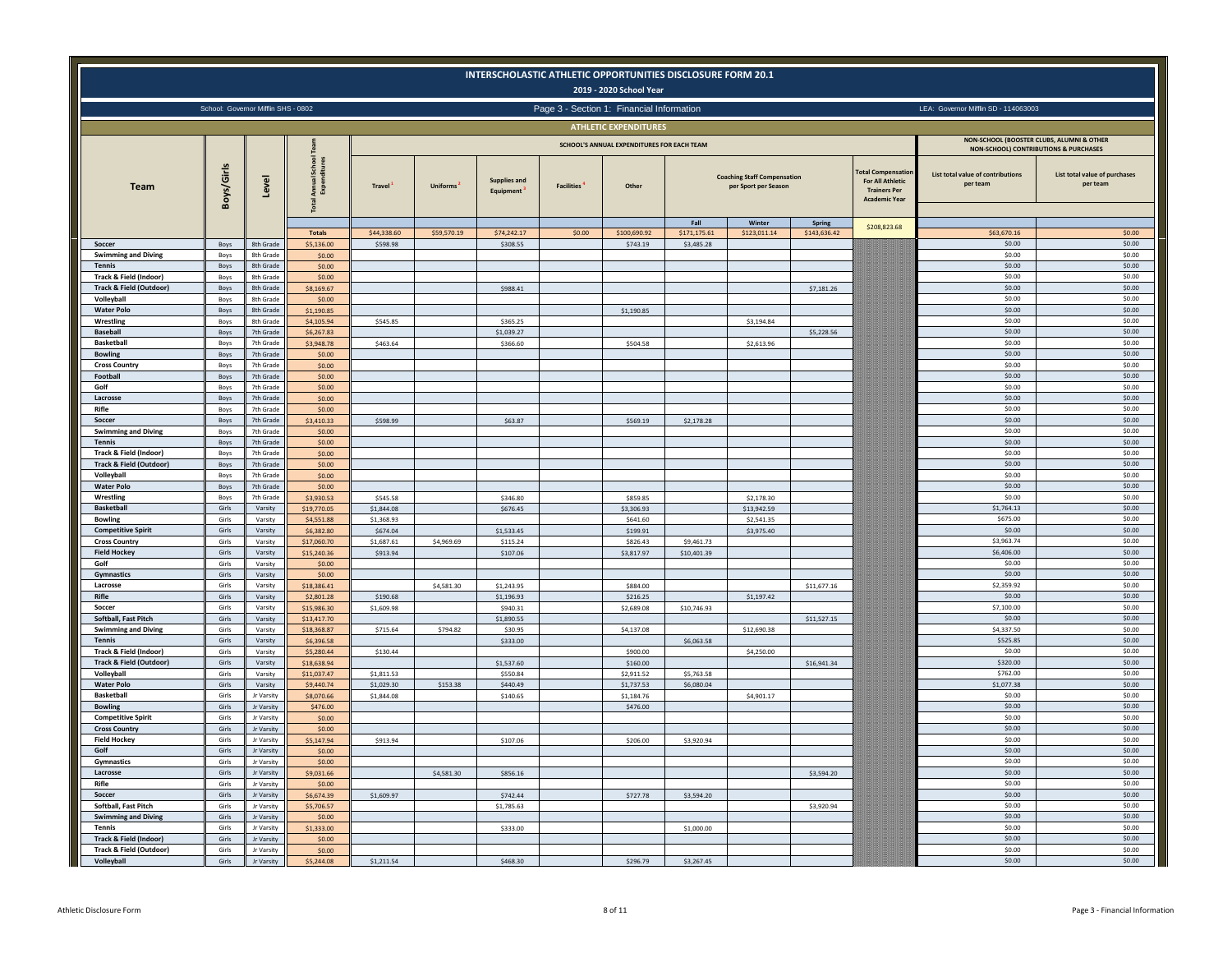|                                                              |                |                                     |                           |                          |                 |                                  | INTERSCHOLASTIC ATHLETIC OPPORTUNITIES DISCLOSURE FORM 20.1 | 2019 - 2020 School Year                    |                      |                                                            |                        |                                                                                             |                                                                                               |                                           |
|--------------------------------------------------------------|----------------|-------------------------------------|---------------------------|--------------------------|-----------------|----------------------------------|-------------------------------------------------------------|--------------------------------------------|----------------------|------------------------------------------------------------|------------------------|---------------------------------------------------------------------------------------------|-----------------------------------------------------------------------------------------------|-------------------------------------------|
|                                                              |                | School: Governor Mifflin SHS - 0802 |                           |                          |                 |                                  | Page 3 - Section 1: Financial Information                   |                                            |                      |                                                            |                        |                                                                                             | LEA: Governor Mifflin SD - 114063003                                                          |                                           |
|                                                              |                |                                     |                           |                          |                 |                                  |                                                             | <b>ATHLETIC EXPENDITURES</b>               |                      |                                                            |                        |                                                                                             |                                                                                               |                                           |
|                                                              |                |                                     |                           |                          |                 |                                  |                                                             | SCHOOL'S ANNUAL EXPENDITURES FOR EACH TEAM |                      |                                                            |                        |                                                                                             | NON-SCHOOL (BOOSTER CLUBS, ALUMNI & OTHER<br><b>NON-SCHOOL) CONTRIBUTIONS &amp; PURCHASES</b> |                                           |
| <b>Team</b>                                                  | Boys/Girls     | Level                               |                           | <b>Travel</b>            | <b>Uniforms</b> | <b>Supplies and</b><br>Equipment | <b>Facilities</b>                                           | Other                                      |                      | <b>Coaching Staff Compensation</b><br>per Sport per Season |                        | otal Compensation<br><b>For All Athletic</b><br><b>Trainers Per</b><br><b>Academic Year</b> | List total value of contributions<br>per team                                                 | List total value of purchases<br>per team |
|                                                              |                |                                     | <b>Totals</b>             | \$44,338.60              | \$59,570.19     | \$74,242.17                      | \$0.00                                                      | \$100,690.92                               | Fall<br>\$171,175.61 | Winter<br>\$123,011.14                                     | Spring<br>\$143,636.42 | \$208,823.68                                                                                | \$63,670.16                                                                                   | \$0.00                                    |
| Soccer                                                       | Boys           | 8th Grade                           | \$5,136.00                | \$598.98                 |                 | \$308.55                         |                                                             | \$743.19                                   | \$3,485.28           |                                                            |                        |                                                                                             | \$0.00                                                                                        | \$0.00                                    |
| <b>Swimming and Diving</b>                                   | Boys           | 8th Grade                           | \$0.00                    |                          |                 |                                  |                                                             |                                            |                      |                                                            |                        |                                                                                             | \$0.00                                                                                        | \$0.00                                    |
| <b>Tennis</b><br>Track & Field (Indoor)                      | Boys<br>Boys   | 8th Grade<br>8th Grad               | \$0.00<br>\$0.00          |                          |                 |                                  |                                                             |                                            |                      |                                                            |                        |                                                                                             | \$0.00<br>\$0.00                                                                              | \$0.00<br>\$0.00                          |
| <b>Track &amp; Field (Outdoor)</b>                           | Boys           | 8th Grade                           | \$8,169.67                |                          |                 | \$988.41                         |                                                             |                                            |                      |                                                            | \$7,181.26             |                                                                                             | \$0.00                                                                                        | \$0.00                                    |
| Volleybal                                                    | Boys           | 8th Grade                           | \$0.00                    |                          |                 |                                  |                                                             |                                            |                      |                                                            |                        |                                                                                             | \$0.00                                                                                        | \$0.00                                    |
| <b>Water Polo</b>                                            | Boys           | 8th Grade                           | \$1,190.85<br>\$4,105.94  | \$545.85                 |                 | \$365.25                         |                                                             | \$1,190.85                                 |                      |                                                            |                        |                                                                                             | \$0.00<br>\$0.00                                                                              | \$0.00<br>\$0.00                          |
| Wrestling<br><b>Baseball</b>                                 | Boys<br>Boys   | 8th Grad<br>7th Grade               | \$6,267,83                |                          |                 | \$1,039.27                       |                                                             |                                            |                      | \$3,194.84                                                 | \$5,228.56             |                                                                                             | \$0.00                                                                                        | \$0.00                                    |
| <b>Basketball</b>                                            | Boys           | 7th Grade                           | \$3,948.78                | \$463.64                 |                 | \$366.60                         |                                                             | \$504.58                                   |                      | \$2,613.96                                                 |                        |                                                                                             | \$0.00                                                                                        | \$0.00                                    |
| <b>Bowling</b>                                               | Boys           | 7th Grade                           | \$0.00                    |                          |                 |                                  |                                                             |                                            |                      |                                                            |                        |                                                                                             | \$0.00                                                                                        | \$0.00                                    |
| <b>Cross Country</b>                                         | Boys           | 7th Grade                           | \$0.00                    |                          |                 |                                  |                                                             |                                            |                      |                                                            |                        |                                                                                             | \$0.00                                                                                        | \$0.00                                    |
| Football<br>Golf                                             | Boys<br>Boys   | 7th Grade<br>7th Grade              | \$0.00<br>\$0.00          |                          |                 |                                  |                                                             |                                            |                      |                                                            |                        |                                                                                             | \$0.00<br>\$0.00                                                                              | \$0.00<br>\$0.00                          |
| Lacrosse                                                     | Boys           | 7th Grade                           | \$0.00                    |                          |                 |                                  |                                                             |                                            |                      |                                                            |                        |                                                                                             | \$0.00                                                                                        | \$0.00                                    |
| Rifle                                                        | Boys           | 7th Grade                           | \$0.00                    |                          |                 |                                  |                                                             |                                            |                      |                                                            |                        |                                                                                             | \$0.00                                                                                        | \$0.00                                    |
| Soccer                                                       | Boys           | 7th Grade                           | \$3,410.33                | \$598.99                 |                 | \$63.87                          |                                                             | \$569.19                                   | \$2,178.28           |                                                            |                        |                                                                                             | \$0.00                                                                                        | \$0.00                                    |
| <b>Swimming and Diving</b>                                   | Boys           | 7th Grade                           | \$0.00                    |                          |                 |                                  |                                                             |                                            |                      |                                                            |                        |                                                                                             | \$0.00                                                                                        | \$0.00                                    |
| <b>Tennis</b><br><b>Track &amp; Field (Indoor)</b>           | Boys<br>Boys   | 7th Grade<br>7th Grade              | \$0.00<br>\$0.00          |                          |                 |                                  |                                                             |                                            |                      |                                                            |                        |                                                                                             | \$0.00<br>\$0.00                                                                              | \$0.00<br>\$0.00                          |
| <b>Track &amp; Field (Outdoor)</b>                           | Boys           | 7th Grade                           | \$0.00                    |                          |                 |                                  |                                                             |                                            |                      |                                                            |                        |                                                                                             | \$0.00                                                                                        | \$0.00                                    |
| Volleyball                                                   | Boys           | 7th Grade                           | \$0.00                    |                          |                 |                                  |                                                             |                                            |                      |                                                            |                        |                                                                                             | \$0.00                                                                                        | \$0.00                                    |
| <b>Water Polo</b>                                            | Boys           | 7th Grade                           | \$0.00                    |                          |                 |                                  |                                                             |                                            |                      |                                                            |                        |                                                                                             | \$0.00                                                                                        | \$0.00                                    |
| Wrestling                                                    | Boys           | 7th Grade                           | \$3,930.53                | \$545.58                 |                 | \$346.80                         |                                                             | \$859.85                                   |                      | \$2,178.30                                                 |                        |                                                                                             | \$0.00                                                                                        | \$0.00                                    |
| <b>Basketball</b><br><b>Bowling</b>                          | Girls<br>Girls | Varsity<br>Varsity                  | \$19,770.05<br>\$4,551.88 | \$1,844.08<br>\$1,368.93 |                 | \$676.45                         |                                                             | \$3,306.93<br>\$641.60                     |                      | \$13,942.59<br>\$2,541.35                                  |                        |                                                                                             | \$1,764.13<br>\$675.00                                                                        | \$0.00<br>\$0.00                          |
| <b>Competitive Spirit</b>                                    | Girls          | Varsity                             | \$6,382.80                | \$674.04                 |                 | \$1,533.45                       |                                                             | \$199.91                                   |                      | \$3,975.40                                                 |                        |                                                                                             | \$0.00                                                                                        | \$0.00                                    |
| <b>Cross Country</b>                                         | Girls          | Varsity                             | \$17,060.70               | \$1,687.61               | \$4,969.69      | \$115.24                         |                                                             | \$826.43                                   | \$9,461.73           |                                                            |                        |                                                                                             | \$3,963.74                                                                                    | \$0.00                                    |
| <b>Field Hockey</b>                                          | Girls          | Varsity                             | \$15,240.36               | \$913.94                 |                 | \$107.06                         |                                                             | \$3,817.97                                 | \$10,401.39          |                                                            |                        |                                                                                             | \$6,406.00                                                                                    | \$0.00                                    |
| Golf                                                         | Girls          | Varsity                             | \$0.00                    |                          |                 |                                  |                                                             |                                            |                      |                                                            |                        |                                                                                             | \$0.00                                                                                        | \$0.00                                    |
| <b>Gymnastics</b><br>Lacrosse                                | Girls<br>Girls | Varsity<br>Varsity                  | \$0.00<br>\$18,386.41     |                          | \$4,581.30      | \$1,243.95                       |                                                             | \$884.00                                   |                      |                                                            | \$11,677.16            |                                                                                             | \$0.00<br>\$2,359.92                                                                          | \$0.00<br>\$0.00                          |
| Rifle                                                        | Girls          | Varsity                             | \$2,801.28                | \$190.68                 |                 | \$1,196.93                       |                                                             | \$216.25                                   |                      | \$1,197.42                                                 |                        |                                                                                             | \$0.00                                                                                        | \$0.00                                    |
| Soccer                                                       | Girls          | Varsity                             | \$15,986.30               | \$1,609.98               |                 | \$940.31                         |                                                             | \$2,689.08                                 | \$10,746.93          |                                                            |                        |                                                                                             | \$7,100.00                                                                                    | \$0.00                                    |
| Softball, Fast Pitch                                         | Girls          | Varsity                             | \$13,417.70               |                          |                 | \$1,890.55                       |                                                             |                                            |                      |                                                            | \$11,527.15            |                                                                                             | \$0.00                                                                                        | \$0.00                                    |
| <b>Swimming and Diving</b><br><b>Tennis</b>                  | Girls<br>Girls | Varsity                             | \$18,368.87               | \$715.64                 | \$794.82        | \$30.95                          |                                                             | \$4,137.08                                 |                      | \$12,690.38                                                |                        |                                                                                             | \$4,337.50<br>\$525.85                                                                        | \$0.00<br>\$0.00                          |
| Track & Field (Indoor)                                       | Girls          | Varsity<br>Varsity                  | \$6,396.58<br>\$5,280,44  | \$130.44                 |                 | \$333,00                         |                                                             | \$900.00                                   | \$6,063.58           | \$4,250.00                                                 |                        |                                                                                             | \$0.00                                                                                        | \$0.00                                    |
| <b>Track &amp; Field (Outdoor)</b>                           | Girls          | Varsity                             | \$18,638.94               |                          |                 | \$1,537.60                       |                                                             | \$160.00                                   |                      |                                                            | \$16,941.34            |                                                                                             | \$320.00                                                                                      | \$0.00                                    |
| Volleyball                                                   | Girls          | Varsity                             | \$11.037.47               | \$1.811.53               |                 | \$550.84                         |                                                             | \$2,911.52                                 | \$5,763.58           |                                                            |                        |                                                                                             | \$762.00                                                                                      | \$0.00                                    |
| <b>Water Polo</b>                                            | Girls          | Varsity                             | \$9,440.74                | \$1,029.30               | \$153.38        | \$440.49                         |                                                             | \$1,737.53                                 | \$6,080.04           |                                                            |                        |                                                                                             | \$1,077.38                                                                                    | \$0.00                                    |
| <b>Basketball</b>                                            | Girl:          | Jr Varsity                          | 8.070.66                  | \$1,844.08               |                 | \$140.65                         |                                                             | \$1,184.76<br>\$476.00                     |                      | \$4,901.17                                                 |                        |                                                                                             | \$0.00<br>\$0.00                                                                              | \$0.00<br>\$0.00                          |
| <b>Bowling</b><br><b>Competitive Spirit</b>                  | Girls<br>Girls | Jr Varsity<br>Jr Varsity            | \$476.00<br>\$0.00        |                          |                 |                                  |                                                             |                                            |                      |                                                            |                        |                                                                                             | \$0.00                                                                                        | \$0.00                                    |
| <b>Cross Country</b>                                         | Girls          | Jr Varsity                          | \$0.00                    |                          |                 |                                  |                                                             |                                            |                      |                                                            |                        |                                                                                             | \$0.00                                                                                        | \$0.00                                    |
| <b>Field Hockey</b>                                          | Girls          | Jr Varsity                          | \$5,147.94                | \$913.94                 |                 | \$107.06                         |                                                             | \$206.00                                   | \$3,920.94           |                                                            |                        |                                                                                             | \$0.00                                                                                        | \$0.00                                    |
| Golf                                                         | Girls          | Jr Varsity                          | \$0.00                    |                          |                 |                                  |                                                             |                                            |                      |                                                            |                        |                                                                                             | \$0.00                                                                                        | \$0.00                                    |
| Gymnastics<br>Lacrosse                                       | Girls<br>Girls | Jr Varsity<br>Jr Varsity            | \$0.00<br>\$9,031.66      |                          | \$4,581.30      | \$856.16                         |                                                             |                                            |                      |                                                            | \$3,594.20             |                                                                                             | \$0.00<br>\$0.00                                                                              | \$0.00<br>\$0.00                          |
| Rifle                                                        | Girls          | Jr Varsity                          | \$0.00                    |                          |                 |                                  |                                                             |                                            |                      |                                                            |                        |                                                                                             | \$0.00                                                                                        | \$0.00                                    |
| Soccer                                                       | Girls          | Jr Varsity                          | \$6,674.39                | \$1,609.97               |                 | \$742.44                         |                                                             | \$727.78                                   | \$3,594.20           |                                                            |                        |                                                                                             | \$0.00                                                                                        | \$0.00                                    |
| Softball, Fast Pitch                                         | Girls          | Jr Varsity                          | \$5,706.57                |                          |                 | \$1,785.63                       |                                                             |                                            |                      |                                                            | \$3,920.94             |                                                                                             | \$0.00                                                                                        | \$0.00                                    |
| <b>Swimming and Diving</b>                                   | Girls          | Jr Varsity                          | \$0.00                    |                          |                 |                                  |                                                             |                                            |                      |                                                            |                        |                                                                                             | \$0.00                                                                                        | \$0.00                                    |
| Tennis                                                       | Girls          | Jr Varsity                          | \$1,333.00                |                          |                 | \$333.00                         |                                                             |                                            | \$1,000.00           |                                                            |                        |                                                                                             | \$0.00<br>\$0.00                                                                              | \$0.00<br>\$0.00                          |
| Track & Field (Indoor)<br><b>Track &amp; Field (Outdoor)</b> | Girls<br>Girls | Jr Varsity<br>Jr Varsity            | \$0.00<br>\$0.00          |                          |                 |                                  |                                                             |                                            |                      |                                                            |                        |                                                                                             | \$0.00                                                                                        | \$0.00                                    |
| Volleyball                                                   | Girls          | Jr Varsity                          | \$5,244.08                | \$1,211.54               |                 | \$468.30                         |                                                             | \$296.79                                   | \$3,267.45           |                                                            |                        |                                                                                             | \$0.00                                                                                        | \$0.00                                    |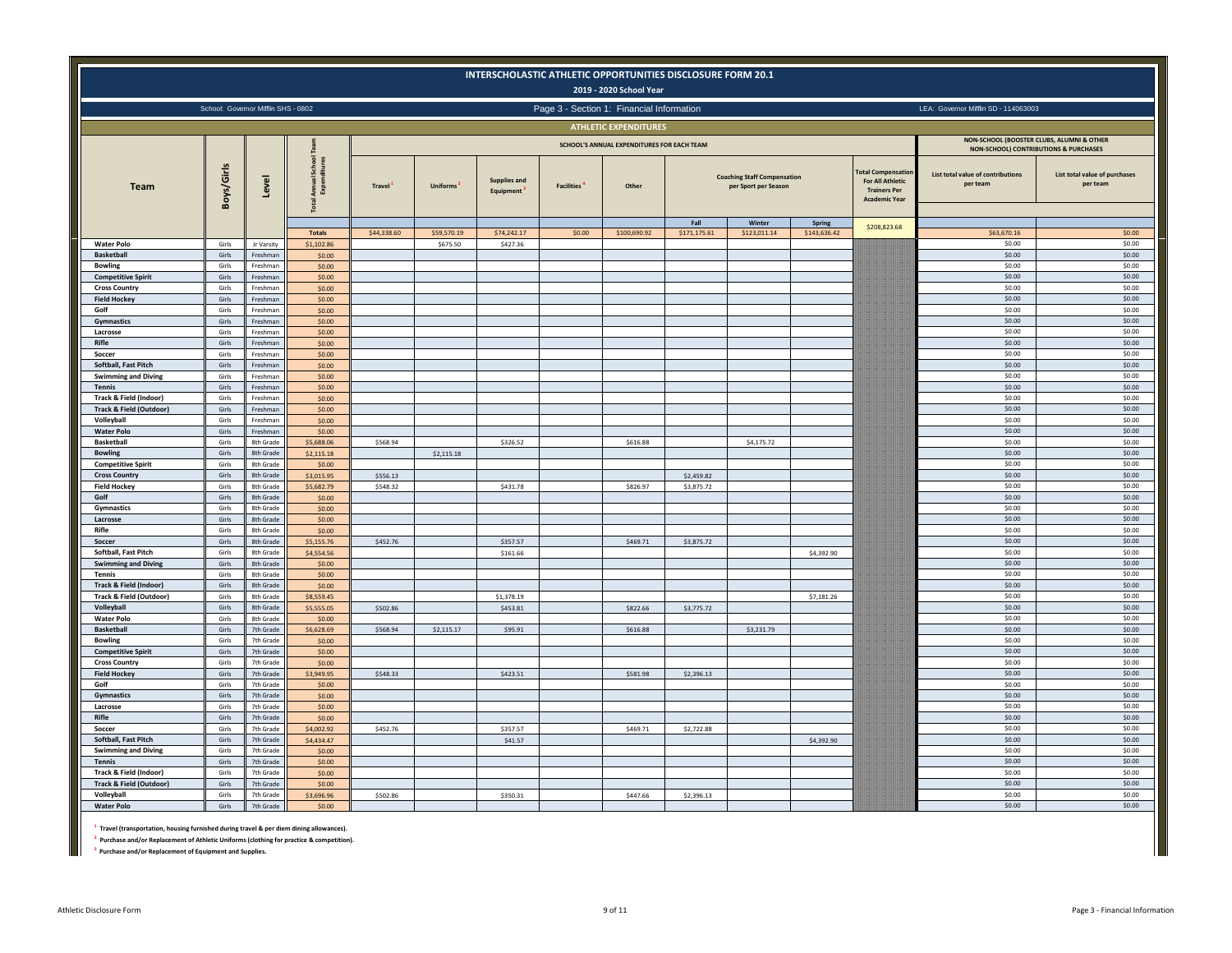|                                                   |                |                                     |                             |               |                         |                                  |                   | 2019 - 2020 School Year                    | INTERSCHOLASTIC ATHLETIC OPPORTUNITIES DISCLOSURE FORM 20.1 |                                                            |              |                                                                                                    |                                               |                                           |
|---------------------------------------------------|----------------|-------------------------------------|-----------------------------|---------------|-------------------------|----------------------------------|-------------------|--------------------------------------------|-------------------------------------------------------------|------------------------------------------------------------|--------------|----------------------------------------------------------------------------------------------------|-----------------------------------------------|-------------------------------------------|
|                                                   |                | School: Governor Mifflin SHS - 0802 |                             |               |                         |                                  |                   | Page 3 - Section 1: Financial Information  |                                                             |                                                            |              |                                                                                                    | LEA: Governor Mifflin SD - 114063003          |                                           |
|                                                   |                |                                     |                             |               |                         |                                  |                   | <b>ATHLETIC EXPENDITURES</b>               |                                                             |                                                            |              |                                                                                                    |                                               |                                           |
|                                                   |                |                                     |                             |               |                         |                                  |                   | SCHOOL'S ANNUAL EXPENDITURES FOR EACH TEAM |                                                             |                                                            |              |                                                                                                    |                                               | NON-SCHOOL (BOOSTER CLUBS, ALUMNI & OTHER |
|                                                   |                |                                     |                             |               |                         |                                  |                   |                                            |                                                             |                                                            |              |                                                                                                    |                                               | NON-SCHOOL) CONTRIBUTIONS & PURCHASES     |
| <b>Team</b>                                       | Boys/Girls     | Level                               |                             | <b>Travel</b> | Uniforms                | <b>Supplies and</b><br>Equipment | <b>Facilities</b> | Other                                      |                                                             | <b>Coaching Staff Compensation</b><br>per Sport per Season |              | <b>Fotal Compensatio</b><br><b>For All Athletic</b><br><b>Trainers Per</b><br><b>Academic Year</b> | List total value of contributions<br>per team | List total value of purchases<br>per team |
|                                                   |                |                                     |                             |               |                         |                                  |                   |                                            | Fall                                                        | Winter                                                     | Spring       | \$208,823.68                                                                                       |                                               |                                           |
| <b>Water Polo</b>                                 | Girls          | Jr Varsity                          | <b>Totals</b><br>\$1,102.86 | \$44,338.60   | \$59,570.19<br>\$675.50 | \$74,242.17<br>\$427.36          | \$0.00            | \$100,690.92                               | \$171,175.61                                                | \$123,011.14                                               | \$143,636.42 |                                                                                                    | \$63,670.16<br>\$0.00                         | \$0.00<br>\$0.00                          |
| <b>Basketball</b>                                 | Girls          | Ereshman                            | \$0.00                      |               |                         |                                  |                   |                                            |                                                             |                                                            |              |                                                                                                    | \$0.00                                        | \$0.00                                    |
| <b>Bowling</b>                                    | Girls          | Freshman                            | \$0.00                      |               |                         |                                  |                   |                                            |                                                             |                                                            |              |                                                                                                    | \$0.00                                        | \$0.00                                    |
| <b>Competitive Spirit</b>                         | Girls          | Freshmar                            | \$0.00                      |               |                         |                                  |                   |                                            |                                                             |                                                            |              |                                                                                                    | \$0.00                                        | \$0.00                                    |
| <b>Cross Country</b>                              | Girls          | Freshma                             | \$0.00                      |               |                         |                                  |                   |                                            |                                                             |                                                            |              |                                                                                                    | \$0.00<br>\$0.00                              | \$0.00<br>\$0.00                          |
| <b>Field Hockey</b><br>Golf                       | Girls<br>Girls | Freshmar<br>Freshmar                | \$0.00<br>\$0.00            |               |                         |                                  |                   |                                            |                                                             |                                                            |              |                                                                                                    | \$0.00                                        | \$0.00                                    |
| Gymnastics                                        | Girls          | Freshman                            | \$0.00                      |               |                         |                                  |                   |                                            |                                                             |                                                            |              |                                                                                                    | \$0.00                                        | \$0.00                                    |
| Lacrosse                                          | Girls          | Freshman                            | \$0.00                      |               |                         |                                  |                   |                                            |                                                             |                                                            |              |                                                                                                    | \$0.00                                        | \$0.00                                    |
| Rifle                                             | Girls          | Freshma                             | \$0.00                      |               |                         |                                  |                   |                                            |                                                             |                                                            |              |                                                                                                    | \$0.00                                        | \$0.00                                    |
| Soccer<br>Softball, Fast Pitch                    | Girls<br>Girls | Freshma<br>Freshmar                 | \$0.00                      |               |                         |                                  |                   |                                            |                                                             |                                                            |              |                                                                                                    | \$0.00                                        | \$0.00                                    |
| <b>Swimming and Diving</b>                        | Girls          | Freshman                            | \$0.00<br>\$0.00            |               |                         |                                  |                   |                                            |                                                             |                                                            |              |                                                                                                    | \$0.00<br>\$0.00                              | \$0.00<br>\$0.00                          |
| <b>Tennis</b>                                     | Girls          | Freshman                            | \$0.00                      |               |                         |                                  |                   |                                            |                                                             |                                                            |              |                                                                                                    | \$0.00                                        | \$0.00                                    |
| <b>Track &amp; Field (Indoor)</b>                 | Girls          | Freshmar                            | \$0.00                      |               |                         |                                  |                   |                                            |                                                             |                                                            |              |                                                                                                    | \$0.00                                        | \$0.00                                    |
| <b>Track &amp; Field (Outdoor)</b>                | Girls          | Freshman                            | \$0.00                      |               |                         |                                  |                   |                                            |                                                             |                                                            |              |                                                                                                    | \$0.00                                        | \$0.00                                    |
| Volleyball                                        | Girls          | Freshman                            | \$0.00                      |               |                         |                                  |                   |                                            |                                                             |                                                            |              |                                                                                                    | \$0.00                                        | \$0.00                                    |
| <b>Water Polo</b><br><b>Basketball</b>            | Girls<br>Girls | Freshmar<br>8th Grade               | \$0.00                      |               |                         |                                  |                   |                                            |                                                             |                                                            |              |                                                                                                    | \$0.00<br>\$0.00                              | \$0.00<br>\$0.00                          |
| <b>Bowling</b>                                    | Girls          | 8th Grade                           | \$5,688.06<br>\$2,115.18    | \$568.94      | \$2,115.18              | \$326.52                         |                   | \$616.88                                   |                                                             | \$4,175.72                                                 |              |                                                                                                    | \$0.00                                        | \$0.00                                    |
| <b>Competitive Spirit</b>                         | Girls          | 8th Grade                           | \$0.00                      |               |                         |                                  |                   |                                            |                                                             |                                                            |              |                                                                                                    | \$0.00                                        | \$0.00                                    |
| <b>Cross Country</b>                              | Girls          | 8th Grade                           | \$3,015.95                  | \$556.13      |                         |                                  |                   |                                            | \$2,459.82                                                  |                                                            |              |                                                                                                    | \$0.00                                        | \$0.00                                    |
| <b>Field Hockey</b>                               | Girls          | 8th Grade                           | \$5,682.79                  | \$548.32      |                         | \$431.78                         |                   | \$826.97                                   | \$3,875.72                                                  |                                                            |              |                                                                                                    | \$0.00                                        | \$0.00                                    |
| Golf                                              | Girls          | 8th Grade<br>8th Grade              | \$0.00                      |               |                         |                                  |                   |                                            |                                                             |                                                            |              |                                                                                                    | \$0.00<br>\$0.00                              | \$0.00<br>\$0.00                          |
| Gymnastics<br>Lacrosse                            | Girls<br>Girls | 8th Grade                           | \$0.00<br>\$0.00            |               |                         |                                  |                   |                                            |                                                             |                                                            |              |                                                                                                    | \$0.00                                        | \$0.00                                    |
| Rifle                                             | Girls          | 8th Grade                           | \$0.00                      |               |                         |                                  |                   |                                            |                                                             |                                                            |              |                                                                                                    | \$0.00                                        | \$0.00                                    |
| Soccer                                            | Girls          | 8th Grade                           | \$5,155.76                  | \$452.76      |                         | \$357.57                         |                   | \$469.71                                   | \$3,875.72                                                  |                                                            |              |                                                                                                    | \$0.00                                        | \$0.00                                    |
| Softball, Fast Pitch                              | Girls          | 8th Grade                           | \$4,554.56                  |               |                         | \$161.66                         |                   |                                            |                                                             |                                                            | \$4,392.90   |                                                                                                    | \$0.00                                        | \$0.00                                    |
| <b>Swimming and Diving</b>                        | Girls          | 8th Grade                           | \$0.00                      |               |                         |                                  |                   |                                            |                                                             |                                                            |              |                                                                                                    | \$0.00<br>\$0.00                              | \$0.00<br>\$0.00                          |
| <b>Tennis</b><br>Track & Field (Indoor)           | Girls<br>Girls | 8th Grade<br>8th Grade              | \$0.00<br>\$0.00            |               |                         |                                  |                   |                                            |                                                             |                                                            |              |                                                                                                    | \$0.00                                        | \$0.00                                    |
| Track & Field (Outdoor)                           | Girls          | 8th Grade                           | \$8,559.45                  |               |                         | \$1,378.19                       |                   |                                            |                                                             |                                                            | \$7,181.26   |                                                                                                    | \$0.00                                        | \$0.00                                    |
| Volleyball                                        | Girls          | 8th Grade                           | \$5,555.05                  | \$502.86      |                         | \$453.81                         |                   | \$822.66                                   | \$3,775.72                                                  |                                                            |              |                                                                                                    | \$0.00                                        | \$0.00                                    |
| <b>Water Polo</b>                                 | Girls          | 8th Grade                           | \$0.00                      |               |                         |                                  |                   |                                            |                                                             |                                                            |              |                                                                                                    | \$0.00                                        | \$0.00                                    |
| <b>Basketball</b>                                 | Girls          | 7th Grade                           | \$6,628.69                  | \$568.94      | \$2,115.17              | \$95.91                          |                   | \$616.88                                   |                                                             | \$3,231.79                                                 |              |                                                                                                    | \$0.00                                        | \$0.00                                    |
| <b>Bowling</b>                                    | Girls          | 7th Grade                           | \$0.00                      |               |                         |                                  |                   |                                            |                                                             |                                                            |              |                                                                                                    | \$0.00                                        | \$0.00                                    |
| <b>Competitive Spirit</b><br><b>Cross Country</b> | Girls<br>Girls | 7th Grade<br>7th Grade              | \$0.00<br>\$0.00            |               |                         |                                  |                   |                                            |                                                             |                                                            |              |                                                                                                    | \$0.00<br>\$0.00                              | \$0.00<br>\$0.00                          |
| <b>Field Hockey</b>                               | Girls          | 7th Grade                           | \$3,949.95                  | \$548.33      |                         | \$423.51                         |                   | \$581.98                                   | \$2,396.13                                                  |                                                            |              |                                                                                                    | \$0.00                                        | \$0.00                                    |
| Golf                                              | Girls          | 7th Grade                           | \$0.00                      |               |                         |                                  |                   |                                            |                                                             |                                                            |              |                                                                                                    | \$0.00                                        | \$0.00                                    |
| Gymnastics                                        | Girls          | 7th Grade                           | \$0.00                      |               |                         |                                  |                   |                                            |                                                             |                                                            |              |                                                                                                    | \$0.00                                        | \$0.00                                    |
| Lacrosse                                          | Girls          | 7th Grade                           | \$0.00                      |               |                         |                                  |                   |                                            |                                                             |                                                            |              |                                                                                                    | \$0.00                                        | \$0.00                                    |
| Rifle<br>Soccer                                   | Girls<br>Girls | 7th Grade<br>7th Grade              | \$0.00<br>\$4,002.92        | \$452.76      |                         | \$357.57                         |                   | \$469.71                                   | \$2,722.88                                                  |                                                            |              |                                                                                                    | \$0.00<br>\$0.00                              | \$0.00<br>\$0.00                          |
| Softball, Fast Pitch                              | Girls          | 7th Grade                           | \$4,434.47                  |               |                         | \$41.57                          |                   |                                            |                                                             |                                                            | \$4,392.90   |                                                                                                    | \$0.00                                        | \$0.00                                    |
| <b>Swimming and Diving</b>                        | Girls          | 7th Grade                           | \$0.00                      |               |                         |                                  |                   |                                            |                                                             |                                                            |              |                                                                                                    | \$0.00                                        | \$0.00                                    |
| <b>Tennis</b>                                     | Girls          | 7th Grade                           | \$0.00                      |               |                         |                                  |                   |                                            |                                                             |                                                            |              |                                                                                                    | \$0.00                                        | \$0.00                                    |
| <b>Track &amp; Field (Indoor)</b>                 | Girls          | 7th Grade                           | \$0.00                      |               |                         |                                  |                   |                                            |                                                             |                                                            |              |                                                                                                    | \$0.00                                        | \$0.00                                    |
| <b>Track &amp; Field (Outdoor)</b>                | Girls          | 7th Grade                           | \$0.00                      |               |                         |                                  |                   |                                            |                                                             |                                                            |              |                                                                                                    | \$0.00                                        | \$0.00                                    |
| Volleyball                                        | Girls          | 7th Grade                           | \$3,696.96                  | \$502.86      |                         | \$350.31                         |                   | \$447.66                                   | \$2,396.13                                                  |                                                            |              |                                                                                                    | \$0.00                                        | \$0.00                                    |
| <b>Water Polo</b>                                 | Girls          | 7th Grade                           | \$0.00                      |               |                         |                                  |                   |                                            |                                                             |                                                            |              |                                                                                                    | \$0.00                                        | \$0.00                                    |

**1 Travel (transportation, housing furnished during travel & per diem dining allowances).**

**2 Purchase and/or Replacement of Athletic Uniforms (clothing for practice & competition).**

**3 Purchase and/or Replacement of Equipment and Supplies.**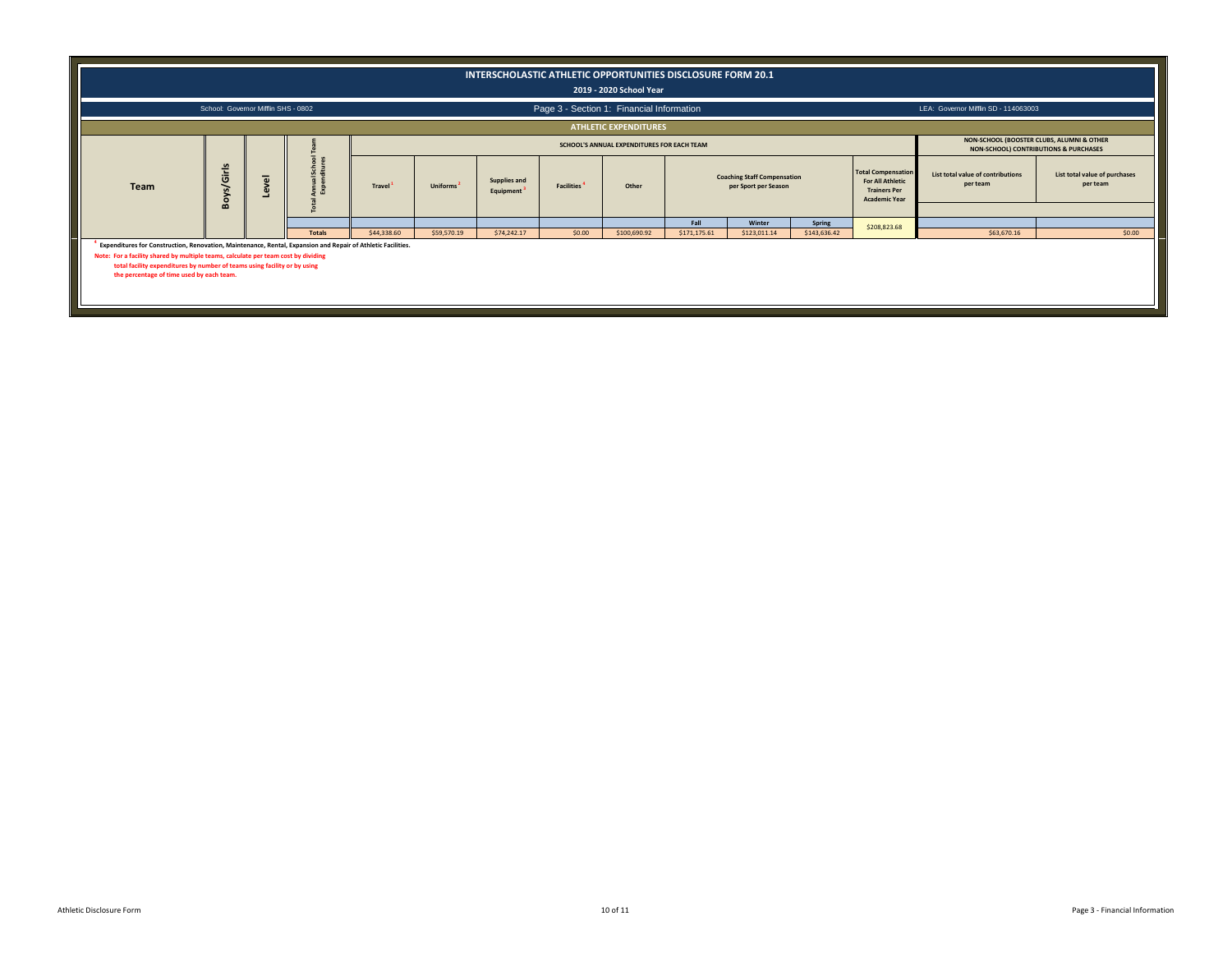|                                                                                                                                                                                                                                                                                                                              |                                     |                     |                                     |                     |                       |                                               |                                           | 2019 - 2020 School Year                    | INTERSCHOLASTIC ATHLETIC OPPORTUNITIES DISCLOSURE FORM 20.1 |                                                            |                        |                                                                                                     |                                                                                    |                                           |
|------------------------------------------------------------------------------------------------------------------------------------------------------------------------------------------------------------------------------------------------------------------------------------------------------------------------------|-------------------------------------|---------------------|-------------------------------------|---------------------|-----------------------|-----------------------------------------------|-------------------------------------------|--------------------------------------------|-------------------------------------------------------------|------------------------------------------------------------|------------------------|-----------------------------------------------------------------------------------------------------|------------------------------------------------------------------------------------|-------------------------------------------|
|                                                                                                                                                                                                                                                                                                                              | School: Governor Mifflin SHS - 0802 |                     |                                     |                     |                       |                                               | Page 3 - Section 1: Financial Information |                                            |                                                             |                                                            |                        |                                                                                                     | LEA: Governor Mifflin SD - 114063003                                               |                                           |
|                                                                                                                                                                                                                                                                                                                              |                                     |                     |                                     |                     |                       |                                               |                                           | <b>ATHLETIC EXPENDITURES</b>               |                                                             |                                                            |                        |                                                                                                     |                                                                                    |                                           |
|                                                                                                                                                                                                                                                                                                                              |                                     |                     |                                     |                     |                       |                                               |                                           | SCHOOL'S ANNUAL EXPENDITURES FOR EACH TEAM |                                                             |                                                            |                        |                                                                                                     | NON-SCHOOL (BOOSTER CLUBS, ALUMNI & OTHER<br>NON-SCHOOL) CONTRIBUTIONS & PURCHASES |                                           |
| Team                                                                                                                                                                                                                                                                                                                         | Boys/Girls                          | $\overline{\omega}$ | School<br>ditures<br>$\overline{a}$ | Travel <sup>1</sup> | Uniforms <sup>2</sup> | <b>Supplies and</b><br>Equipment <sup>3</sup> | <b>Facilities</b>                         | Other                                      |                                                             | <b>Coaching Staff Compensation</b><br>per Sport per Season |                        | <b>Total Compensation</b><br><b>For All Athletic</b><br><b>Trainers Per</b><br><b>Academic Year</b> | List total value of contributions<br>per team                                      | List total value of purchases<br>per team |
|                                                                                                                                                                                                                                                                                                                              |                                     |                     |                                     |                     |                       |                                               |                                           |                                            | Fall                                                        | Winter                                                     |                        |                                                                                                     |                                                                                    |                                           |
|                                                                                                                                                                                                                                                                                                                              |                                     |                     | <b>Totals</b>                       | \$44,338.60         | \$59,570.19           | \$74,242.17                                   | \$0.00                                    | \$100,690.92                               | \$171,175.61                                                | \$123,011.14                                               | Spring<br>\$143,636.42 | \$208,823.68                                                                                        | \$63,670.16                                                                        | \$0.00                                    |
| Expenditures for Construction, Renovation, Maintenance, Rental, Expansion and Repair of Athletic Facilities.<br>Note: For a facility shared by multiple teams, calculate per team cost by dividing<br>total facility expenditures by number of teams using facility or by using<br>the percentage of time used by each team. |                                     |                     |                                     |                     |                       |                                               |                                           |                                            |                                                             |                                                            |                        |                                                                                                     |                                                                                    |                                           |